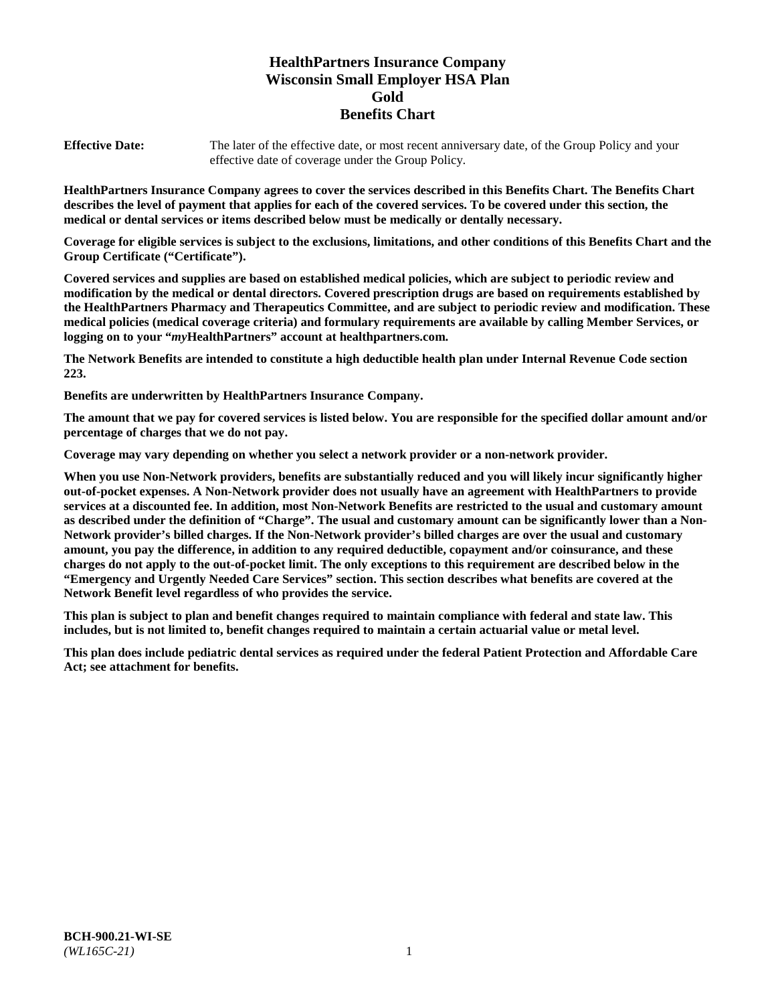# **HealthPartners Insurance Company Wisconsin Small Employer HSA Plan Gold Benefits Chart**

**Effective Date:** The later of the effective date, or most recent anniversary date, of the Group Policy and your effective date of coverage under the Group Policy.

**HealthPartners Insurance Company agrees to cover the services described in this Benefits Chart. The Benefits Chart describes the level of payment that applies for each of the covered services. To be covered under this section, the medical or dental services or items described below must be medically or dentally necessary.**

**Coverage for eligible services is subject to the exclusions, limitations, and other conditions of this Benefits Chart and the Group Certificate ("Certificate").**

**Covered services and supplies are based on established medical policies, which are subject to periodic review and modification by the medical or dental directors. Covered prescription drugs are based on requirements established by the HealthPartners Pharmacy and Therapeutics Committee, and are subject to periodic review and modification. These medical policies (medical coverage criteria) and formulary requirements are available by calling Member Services, or logging on to your "***my***HealthPartners" account at [healthpartners.com.](https://www.healthpartners.com/hp/index.html)**

**The Network Benefits are intended to constitute a high deductible health plan under Internal Revenue Code section 223.**

**Benefits are underwritten by HealthPartners Insurance Company.**

**The amount that we pay for covered services is listed below. You are responsible for the specified dollar amount and/or percentage of charges that we do not pay.**

**Coverage may vary depending on whether you select a network provider or a non-network provider.**

**When you use Non-Network providers, benefits are substantially reduced and you will likely incur significantly higher out-of-pocket expenses. A Non-Network provider does not usually have an agreement with HealthPartners to provide services at a discounted fee. In addition, most Non-Network Benefits are restricted to the usual and customary amount as described under the definition of "Charge". The usual and customary amount can be significantly lower than a Non-Network provider's billed charges. If the Non-Network provider's billed charges are over the usual and customary amount, you pay the difference, in addition to any required deductible, copayment and/or coinsurance, and these charges do not apply to the out-of-pocket limit. The only exceptions to this requirement are described below in the "Emergency and Urgently Needed Care Services" section. This section describes what benefits are covered at the Network Benefit level regardless of who provides the service.**

**This plan is subject to plan and benefit changes required to maintain compliance with federal and state law. This includes, but is not limited to, benefit changes required to maintain a certain actuarial value or metal level.**

**This plan does include pediatric dental services as required under the federal Patient Protection and Affordable Care Act; see attachment for benefits.**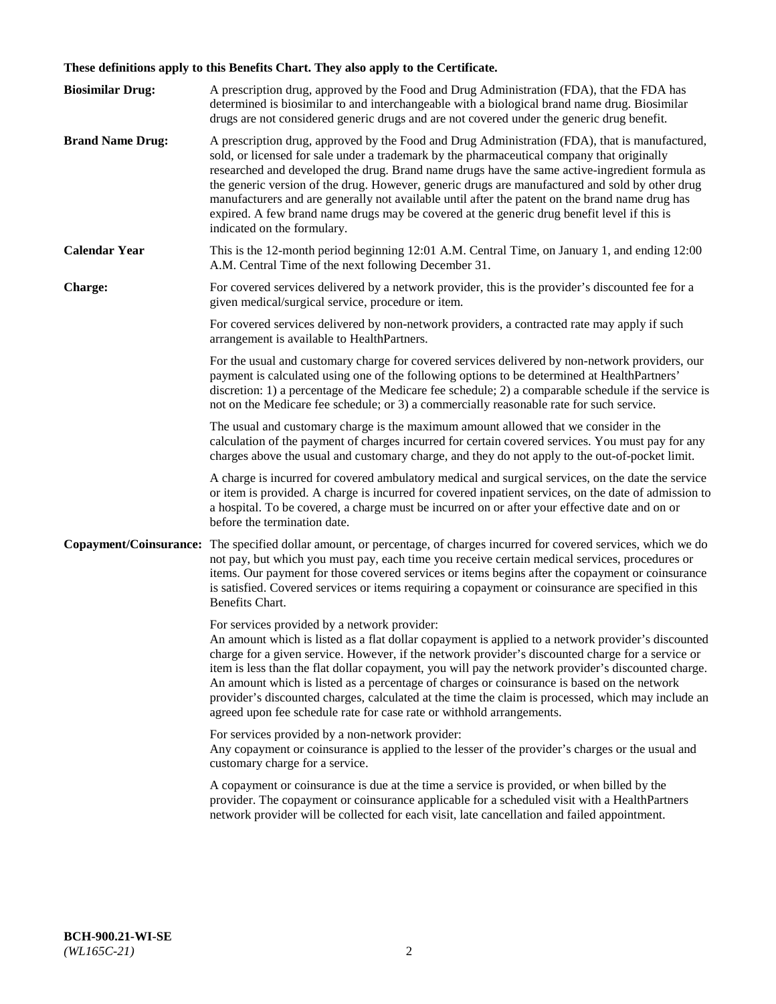# **These definitions apply to this Benefits Chart. They also apply to the Certificate.**

| <b>Biosimilar Drug:</b> | A prescription drug, approved by the Food and Drug Administration (FDA), that the FDA has<br>determined is biosimilar to and interchangeable with a biological brand name drug. Biosimilar<br>drugs are not considered generic drugs and are not covered under the generic drug benefit.                                                                                                                                                                                                                                                                                                                                                     |
|-------------------------|----------------------------------------------------------------------------------------------------------------------------------------------------------------------------------------------------------------------------------------------------------------------------------------------------------------------------------------------------------------------------------------------------------------------------------------------------------------------------------------------------------------------------------------------------------------------------------------------------------------------------------------------|
| <b>Brand Name Drug:</b> | A prescription drug, approved by the Food and Drug Administration (FDA), that is manufactured,<br>sold, or licensed for sale under a trademark by the pharmaceutical company that originally<br>researched and developed the drug. Brand name drugs have the same active-ingredient formula as<br>the generic version of the drug. However, generic drugs are manufactured and sold by other drug<br>manufacturers and are generally not available until after the patent on the brand name drug has<br>expired. A few brand name drugs may be covered at the generic drug benefit level if this is<br>indicated on the formulary.           |
| <b>Calendar Year</b>    | This is the 12-month period beginning 12:01 A.M. Central Time, on January 1, and ending 12:00<br>A.M. Central Time of the next following December 31.                                                                                                                                                                                                                                                                                                                                                                                                                                                                                        |
| <b>Charge:</b>          | For covered services delivered by a network provider, this is the provider's discounted fee for a<br>given medical/surgical service, procedure or item.                                                                                                                                                                                                                                                                                                                                                                                                                                                                                      |
|                         | For covered services delivered by non-network providers, a contracted rate may apply if such<br>arrangement is available to HealthPartners.                                                                                                                                                                                                                                                                                                                                                                                                                                                                                                  |
|                         | For the usual and customary charge for covered services delivered by non-network providers, our<br>payment is calculated using one of the following options to be determined at HealthPartners'<br>discretion: 1) a percentage of the Medicare fee schedule; 2) a comparable schedule if the service is<br>not on the Medicare fee schedule; or 3) a commercially reasonable rate for such service.                                                                                                                                                                                                                                          |
|                         | The usual and customary charge is the maximum amount allowed that we consider in the<br>calculation of the payment of charges incurred for certain covered services. You must pay for any<br>charges above the usual and customary charge, and they do not apply to the out-of-pocket limit.                                                                                                                                                                                                                                                                                                                                                 |
|                         | A charge is incurred for covered ambulatory medical and surgical services, on the date the service<br>or item is provided. A charge is incurred for covered inpatient services, on the date of admission to<br>a hospital. To be covered, a charge must be incurred on or after your effective date and on or<br>before the termination date.                                                                                                                                                                                                                                                                                                |
| Copayment/Coinsurance:  | The specified dollar amount, or percentage, of charges incurred for covered services, which we do<br>not pay, but which you must pay, each time you receive certain medical services, procedures or<br>items. Our payment for those covered services or items begins after the copayment or coinsurance<br>is satisfied. Covered services or items requiring a copayment or coinsurance are specified in this<br>Benefits Chart.                                                                                                                                                                                                             |
|                         | For services provided by a network provider:<br>An amount which is listed as a flat dollar copayment is applied to a network provider's discounted<br>charge for a given service. However, if the network provider's discounted charge for a service or<br>item is less than the flat dollar copayment, you will pay the network provider's discounted charge.<br>An amount which is listed as a percentage of charges or coinsurance is based on the network<br>provider's discounted charges, calculated at the time the claim is processed, which may include an<br>agreed upon fee schedule rate for case rate or withhold arrangements. |
|                         | For services provided by a non-network provider:<br>Any copayment or coinsurance is applied to the lesser of the provider's charges or the usual and<br>customary charge for a service.                                                                                                                                                                                                                                                                                                                                                                                                                                                      |
|                         | A copayment or coinsurance is due at the time a service is provided, or when billed by the<br>provider. The copayment or coinsurance applicable for a scheduled visit with a HealthPartners<br>network provider will be collected for each visit, late cancellation and failed appointment.                                                                                                                                                                                                                                                                                                                                                  |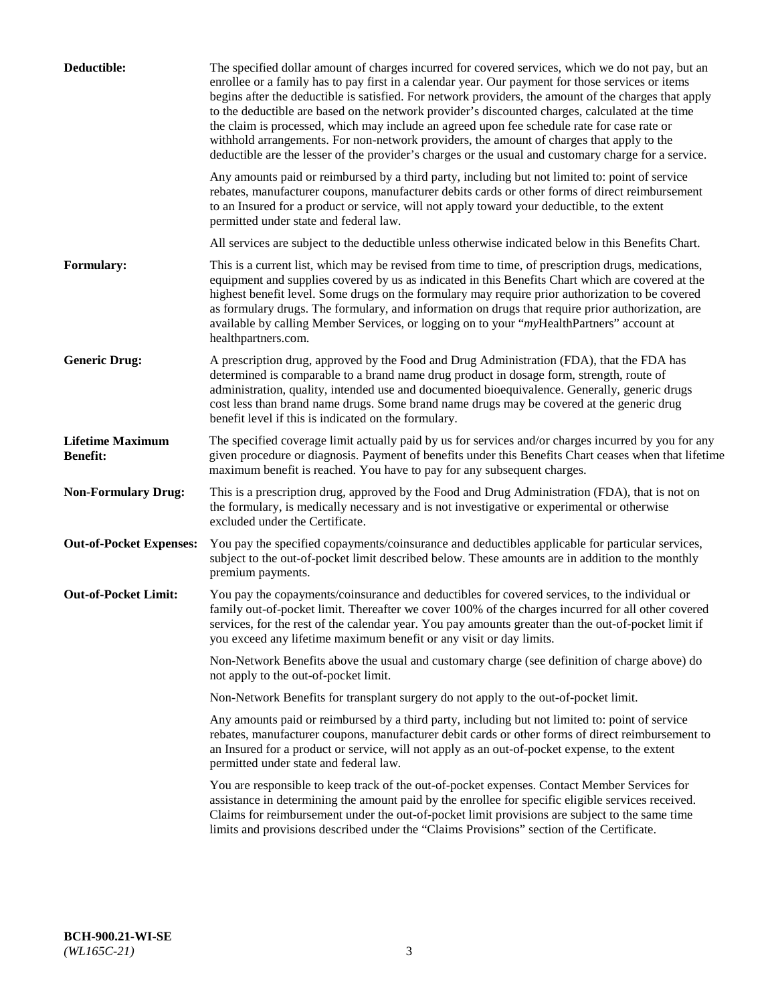| Deductible:                                | The specified dollar amount of charges incurred for covered services, which we do not pay, but an<br>enrollee or a family has to pay first in a calendar year. Our payment for those services or items<br>begins after the deductible is satisfied. For network providers, the amount of the charges that apply<br>to the deductible are based on the network provider's discounted charges, calculated at the time<br>the claim is processed, which may include an agreed upon fee schedule rate for case rate or<br>withhold arrangements. For non-network providers, the amount of charges that apply to the<br>deductible are the lesser of the provider's charges or the usual and customary charge for a service. |
|--------------------------------------------|-------------------------------------------------------------------------------------------------------------------------------------------------------------------------------------------------------------------------------------------------------------------------------------------------------------------------------------------------------------------------------------------------------------------------------------------------------------------------------------------------------------------------------------------------------------------------------------------------------------------------------------------------------------------------------------------------------------------------|
|                                            | Any amounts paid or reimbursed by a third party, including but not limited to: point of service<br>rebates, manufacturer coupons, manufacturer debits cards or other forms of direct reimbursement<br>to an Insured for a product or service, will not apply toward your deductible, to the extent<br>permitted under state and federal law.                                                                                                                                                                                                                                                                                                                                                                            |
|                                            | All services are subject to the deductible unless otherwise indicated below in this Benefits Chart.                                                                                                                                                                                                                                                                                                                                                                                                                                                                                                                                                                                                                     |
| <b>Formulary:</b>                          | This is a current list, which may be revised from time to time, of prescription drugs, medications,<br>equipment and supplies covered by us as indicated in this Benefits Chart which are covered at the<br>highest benefit level. Some drugs on the formulary may require prior authorization to be covered<br>as formulary drugs. The formulary, and information on drugs that require prior authorization, are<br>available by calling Member Services, or logging on to your "myHealthPartners" account at<br>healthpartners.com.                                                                                                                                                                                   |
| <b>Generic Drug:</b>                       | A prescription drug, approved by the Food and Drug Administration (FDA), that the FDA has<br>determined is comparable to a brand name drug product in dosage form, strength, route of<br>administration, quality, intended use and documented bioequivalence. Generally, generic drugs<br>cost less than brand name drugs. Some brand name drugs may be covered at the generic drug<br>benefit level if this is indicated on the formulary.                                                                                                                                                                                                                                                                             |
| <b>Lifetime Maximum</b><br><b>Benefit:</b> | The specified coverage limit actually paid by us for services and/or charges incurred by you for any<br>given procedure or diagnosis. Payment of benefits under this Benefits Chart ceases when that lifetime<br>maximum benefit is reached. You have to pay for any subsequent charges.                                                                                                                                                                                                                                                                                                                                                                                                                                |
| <b>Non-Formulary Drug:</b>                 | This is a prescription drug, approved by the Food and Drug Administration (FDA), that is not on<br>the formulary, is medically necessary and is not investigative or experimental or otherwise<br>excluded under the Certificate.                                                                                                                                                                                                                                                                                                                                                                                                                                                                                       |
| <b>Out-of-Pocket Expenses:</b>             | You pay the specified copayments/coinsurance and deductibles applicable for particular services,<br>subject to the out-of-pocket limit described below. These amounts are in addition to the monthly<br>premium payments.                                                                                                                                                                                                                                                                                                                                                                                                                                                                                               |
| <b>Out-of-Pocket Limit:</b>                | You pay the copayments/coinsurance and deductibles for covered services, to the individual or<br>family out-of-pocket limit. Thereafter we cover 100% of the charges incurred for all other covered<br>services, for the rest of the calendar year. You pay amounts greater than the out-of-pocket limit if<br>you exceed any lifetime maximum benefit or any visit or day limits.                                                                                                                                                                                                                                                                                                                                      |
|                                            | Non-Network Benefits above the usual and customary charge (see definition of charge above) do<br>not apply to the out-of-pocket limit.                                                                                                                                                                                                                                                                                                                                                                                                                                                                                                                                                                                  |
|                                            | Non-Network Benefits for transplant surgery do not apply to the out-of-pocket limit.                                                                                                                                                                                                                                                                                                                                                                                                                                                                                                                                                                                                                                    |
|                                            | Any amounts paid or reimbursed by a third party, including but not limited to: point of service<br>rebates, manufacturer coupons, manufacturer debit cards or other forms of direct reimbursement to<br>an Insured for a product or service, will not apply as an out-of-pocket expense, to the extent<br>permitted under state and federal law.                                                                                                                                                                                                                                                                                                                                                                        |
|                                            | You are responsible to keep track of the out-of-pocket expenses. Contact Member Services for<br>assistance in determining the amount paid by the enrollee for specific eligible services received.<br>Claims for reimbursement under the out-of-pocket limit provisions are subject to the same time<br>limits and provisions described under the "Claims Provisions" section of the Certificate.                                                                                                                                                                                                                                                                                                                       |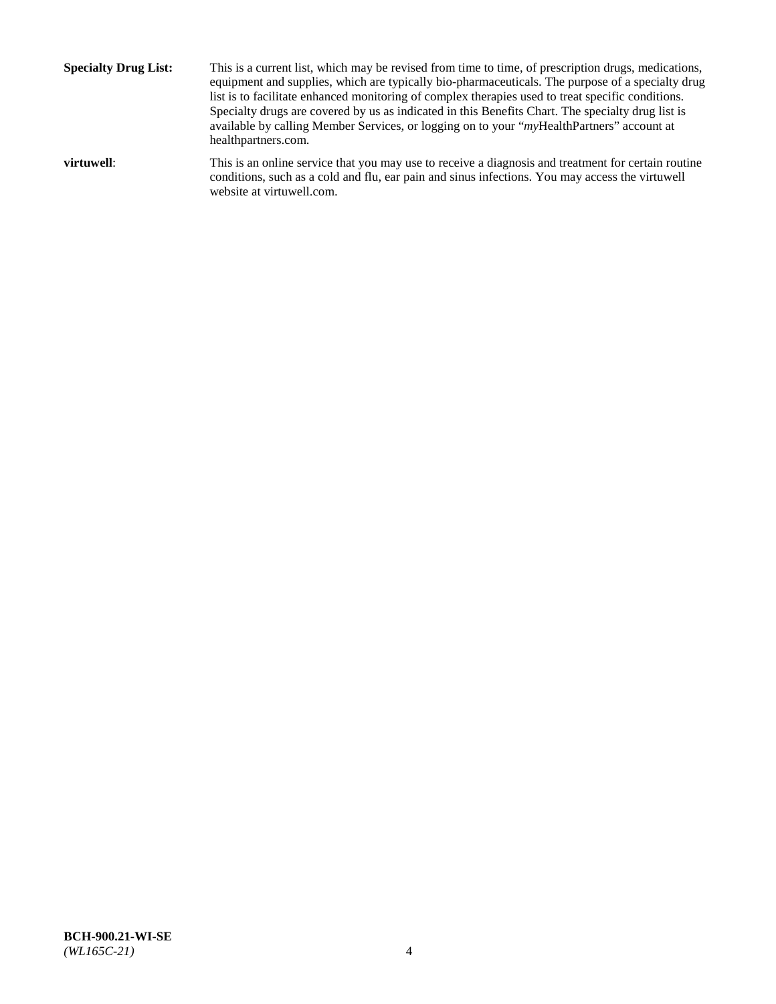**Specialty Drug List:** This is a current list, which may be revised from time to time, of prescription drugs, medications, equipment and supplies, which are typically bio-pharmaceuticals. The purpose of a specialty drug list is to facilitate enhanced monitoring of complex therapies used to treat specific conditions. Specialty drugs are covered by us as indicated in this Benefits Chart. The specialty drug list is available by calling Member Services, or logging on to your "*my*HealthPartners" account at [healthpartners.com.](http://www.healthpartners.com/) **virtuwell:** This is an online service that you may use to receive a diagnosis and treatment for certain routine conditions, such as a cold and flu, ear pain and sinus infections. You may access the virtuwell

website at [virtuwell.com.](http://www.virtuwell.com/)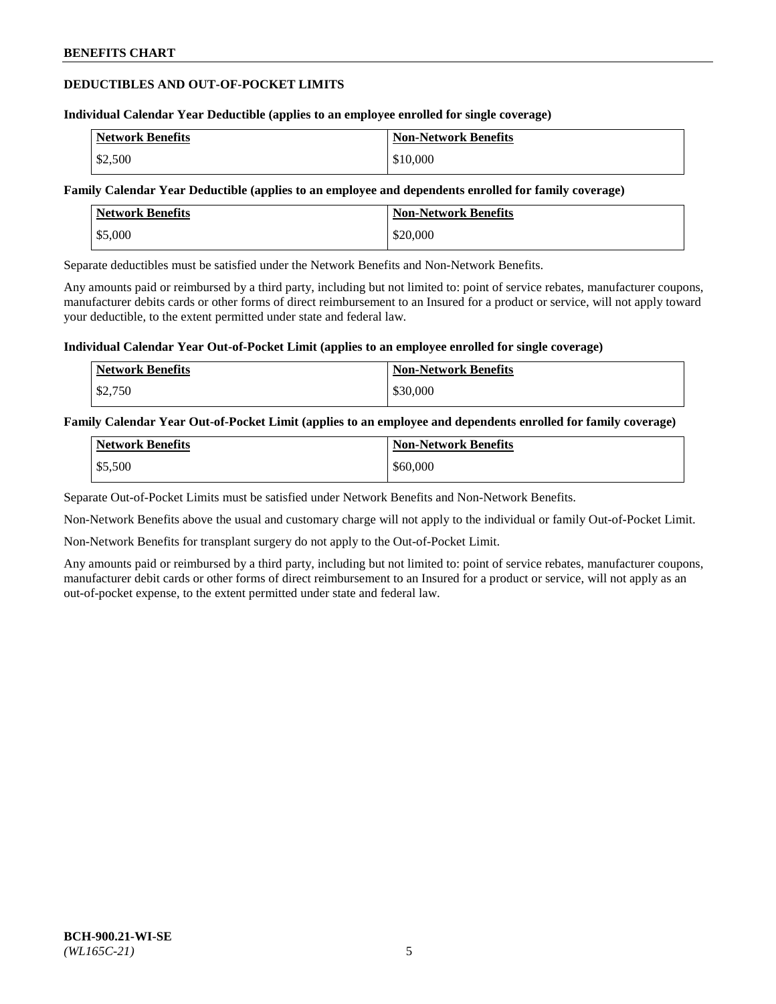### **DEDUCTIBLES AND OUT-OF-POCKET LIMITS**

#### **Individual Calendar Year Deductible (applies to an employee enrolled for single coverage)**

| <b>Network Benefits</b> | <b>Non-Network Benefits</b> |
|-------------------------|-----------------------------|
| \$2,500                 | \$10,000                    |

### **Family Calendar Year Deductible (applies to an employee and dependents enrolled for family coverage)**

| <b>Network Benefits</b> | <b>Non-Network Benefits</b> |
|-------------------------|-----------------------------|
| \$5,000                 | \$20,000                    |

Separate deductibles must be satisfied under the Network Benefits and Non-Network Benefits.

Any amounts paid or reimbursed by a third party, including but not limited to: point of service rebates, manufacturer coupons, manufacturer debits cards or other forms of direct reimbursement to an Insured for a product or service, will not apply toward your deductible, to the extent permitted under state and federal law.

### **Individual Calendar Year Out-of-Pocket Limit (applies to an employee enrolled for single coverage)**

| <b>Network Benefits</b> | <b>Non-Network Benefits</b> |
|-------------------------|-----------------------------|
| \$2,750                 | \$30,000                    |

### **Family Calendar Year Out-of-Pocket Limit (applies to an employee and dependents enrolled for family coverage)**

| <b>Network Benefits</b> | <b>Non-Network Benefits</b> |
|-------------------------|-----------------------------|
| \$5,500                 | \$60,000                    |

Separate Out-of-Pocket Limits must be satisfied under Network Benefits and Non-Network Benefits.

Non-Network Benefits above the usual and customary charge will not apply to the individual or family Out-of-Pocket Limit.

Non-Network Benefits for transplant surgery do not apply to the Out-of-Pocket Limit.

Any amounts paid or reimbursed by a third party, including but not limited to: point of service rebates, manufacturer coupons, manufacturer debit cards or other forms of direct reimbursement to an Insured for a product or service, will not apply as an out-of-pocket expense, to the extent permitted under state and federal law.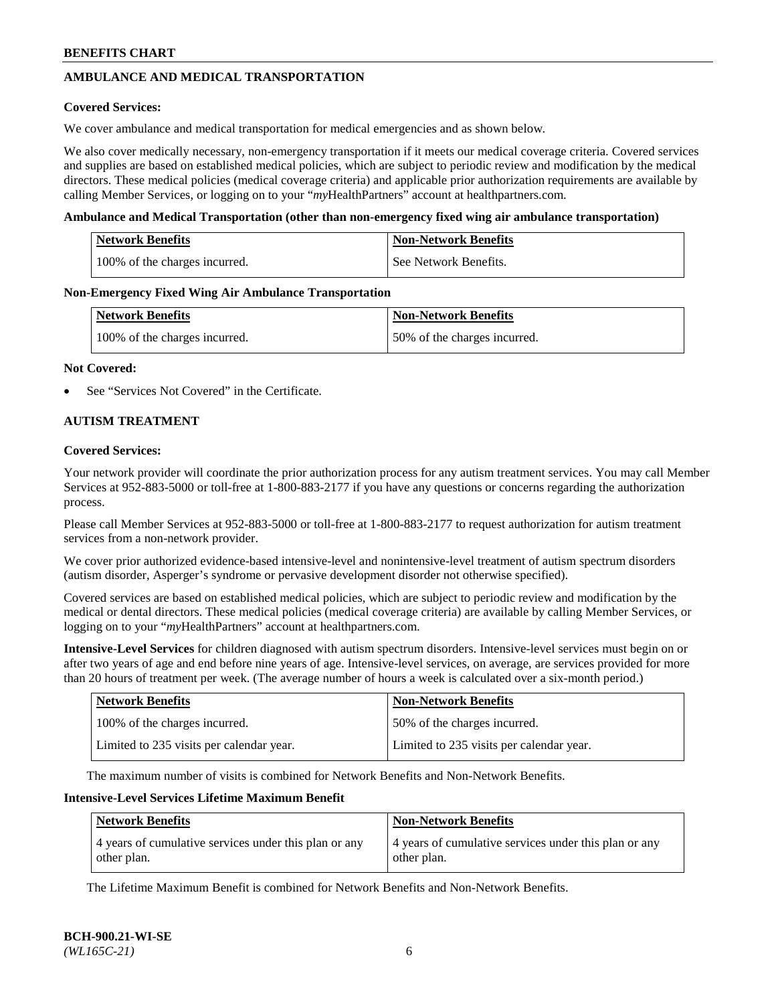# **AMBULANCE AND MEDICAL TRANSPORTATION**

### **Covered Services:**

We cover ambulance and medical transportation for medical emergencies and as shown below.

We also cover medically necessary, non-emergency transportation if it meets our medical coverage criteria. Covered services and supplies are based on established medical policies, which are subject to periodic review and modification by the medical directors. These medical policies (medical coverage criteria) and applicable prior authorization requirements are available by calling Member Services, or logging on to your "*my*HealthPartners" account a[t healthpartners.com.](https://www.healthpartners.com/hp/index.html)

### **Ambulance and Medical Transportation (other than non-emergency fixed wing air ambulance transportation)**

| <b>Network Benefits</b>       | <b>Non-Network Benefits</b> |
|-------------------------------|-----------------------------|
| 100% of the charges incurred. | See Network Benefits.       |

### **Non-Emergency Fixed Wing Air Ambulance Transportation**

| <b>Network Benefits</b>       | <b>Non-Network Benefits</b>  |
|-------------------------------|------------------------------|
| 100% of the charges incurred. | 50% of the charges incurred. |

### **Not Covered:**

See "Services Not Covered" in the Certificate.

### **AUTISM TREATMENT**

### **Covered Services:**

Your network provider will coordinate the prior authorization process for any autism treatment services. You may call Member Services at 952-883-5000 or toll-free at 1-800-883-2177 if you have any questions or concerns regarding the authorization process.

Please call Member Services at 952-883-5000 or toll-free at 1-800-883-2177 to request authorization for autism treatment services from a non-network provider.

We cover prior authorized evidence-based intensive-level and nonintensive-level treatment of autism spectrum disorders (autism disorder, Asperger's syndrome or pervasive development disorder not otherwise specified).

Covered services are based on established medical policies, which are subject to periodic review and modification by the medical or dental directors. These medical policies (medical coverage criteria) are available by calling Member Services, or logging on to your "*my*HealthPartners" account at [healthpartners.com.](https://www.healthpartners.com/hp/index.html)

**Intensive-Level Services** for children diagnosed with autism spectrum disorders. Intensive-level services must begin on or after two years of age and end before nine years of age. Intensive-level services, on average, are services provided for more than 20 hours of treatment per week. (The average number of hours a week is calculated over a six-month period.)

| <b>Network Benefits</b>                  | <b>Non-Network Benefits</b>              |
|------------------------------------------|------------------------------------------|
| 100% of the charges incurred.            | 50% of the charges incurred.             |
| Limited to 235 visits per calendar year. | Limited to 235 visits per calendar year. |

The maximum number of visits is combined for Network Benefits and Non-Network Benefits.

### **Intensive-Level Services Lifetime Maximum Benefit**

| <b>Network Benefits</b>                                              | <b>Non-Network Benefits</b>                                          |
|----------------------------------------------------------------------|----------------------------------------------------------------------|
| 4 years of cumulative services under this plan or any<br>other plan. | 4 years of cumulative services under this plan or any<br>other plan. |

The Lifetime Maximum Benefit is combined for Network Benefits and Non-Network Benefits.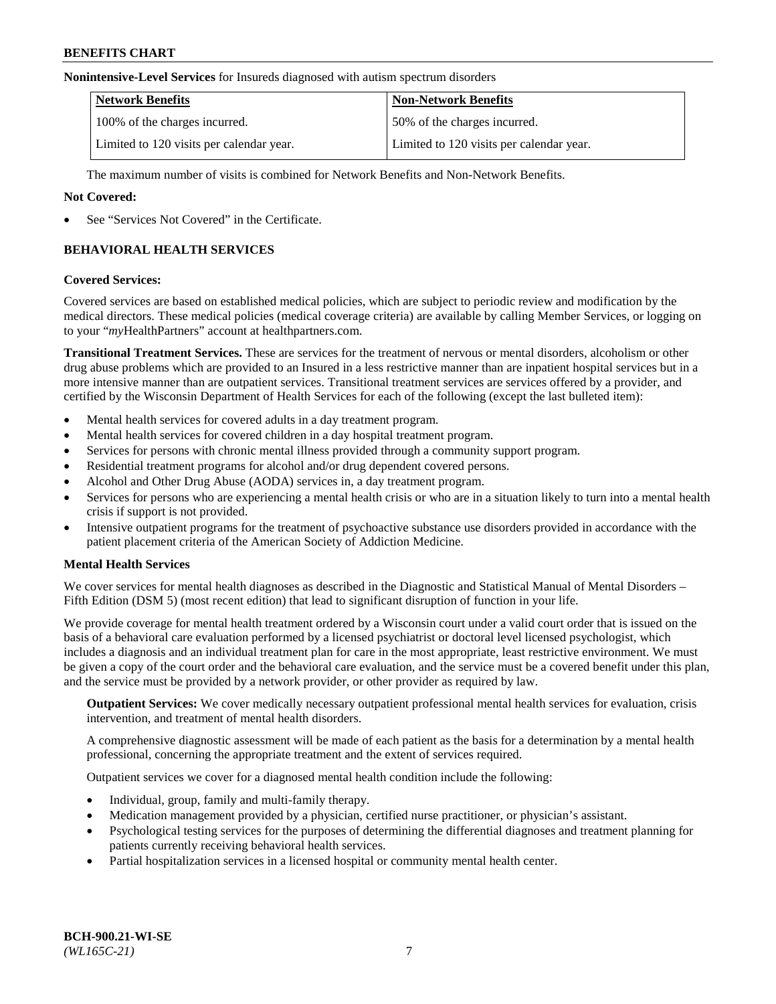#### **Nonintensive-Level Services** for Insureds diagnosed with autism spectrum disorders

| <b>Network Benefits</b>                  | <b>Non-Network Benefits</b>              |
|------------------------------------------|------------------------------------------|
| 100% of the charges incurred.            | 50% of the charges incurred.             |
| Limited to 120 visits per calendar year. | Limited to 120 visits per calendar year. |

The maximum number of visits is combined for Network Benefits and Non-Network Benefits.

### **Not Covered:**

See "Services Not Covered" in the Certificate.

# **BEHAVIORAL HEALTH SERVICES**

### **Covered Services:**

Covered services are based on established medical policies, which are subject to periodic review and modification by the medical directors. These medical policies (medical coverage criteria) are available by calling Member Services, or logging on to your "*my*HealthPartners" account at [healthpartners.com.](https://www.healthpartners.com/hp/index.html)

**Transitional Treatment Services.** These are services for the treatment of nervous or mental disorders, alcoholism or other drug abuse problems which are provided to an Insured in a less restrictive manner than are inpatient hospital services but in a more intensive manner than are outpatient services. Transitional treatment services are services offered by a provider, and certified by the Wisconsin Department of Health Services for each of the following (except the last bulleted item):

- Mental health services for covered adults in a day treatment program.
- Mental health services for covered children in a day hospital treatment program.
- Services for persons with chronic mental illness provided through a community support program.
- Residential treatment programs for alcohol and/or drug dependent covered persons.
- Alcohol and Other Drug Abuse (AODA) services in, a day treatment program.
- Services for persons who are experiencing a mental health crisis or who are in a situation likely to turn into a mental health crisis if support is not provided.
- Intensive outpatient programs for the treatment of psychoactive substance use disorders provided in accordance with the patient placement criteria of the American Society of Addiction Medicine.

### **Mental Health Services**

We cover services for mental health diagnoses as described in the Diagnostic and Statistical Manual of Mental Disorders – Fifth Edition (DSM 5) (most recent edition) that lead to significant disruption of function in your life.

We provide coverage for mental health treatment ordered by a Wisconsin court under a valid court order that is issued on the basis of a behavioral care evaluation performed by a licensed psychiatrist or doctoral level licensed psychologist, which includes a diagnosis and an individual treatment plan for care in the most appropriate, least restrictive environment. We must be given a copy of the court order and the behavioral care evaluation, and the service must be a covered benefit under this plan, and the service must be provided by a network provider, or other provider as required by law.

**Outpatient Services:** We cover medically necessary outpatient professional mental health services for evaluation, crisis intervention, and treatment of mental health disorders.

A comprehensive diagnostic assessment will be made of each patient as the basis for a determination by a mental health professional, concerning the appropriate treatment and the extent of services required.

Outpatient services we cover for a diagnosed mental health condition include the following:

- Individual, group, family and multi-family therapy.
- Medication management provided by a physician, certified nurse practitioner, or physician's assistant.
- Psychological testing services for the purposes of determining the differential diagnoses and treatment planning for patients currently receiving behavioral health services.
- Partial hospitalization services in a licensed hospital or community mental health center.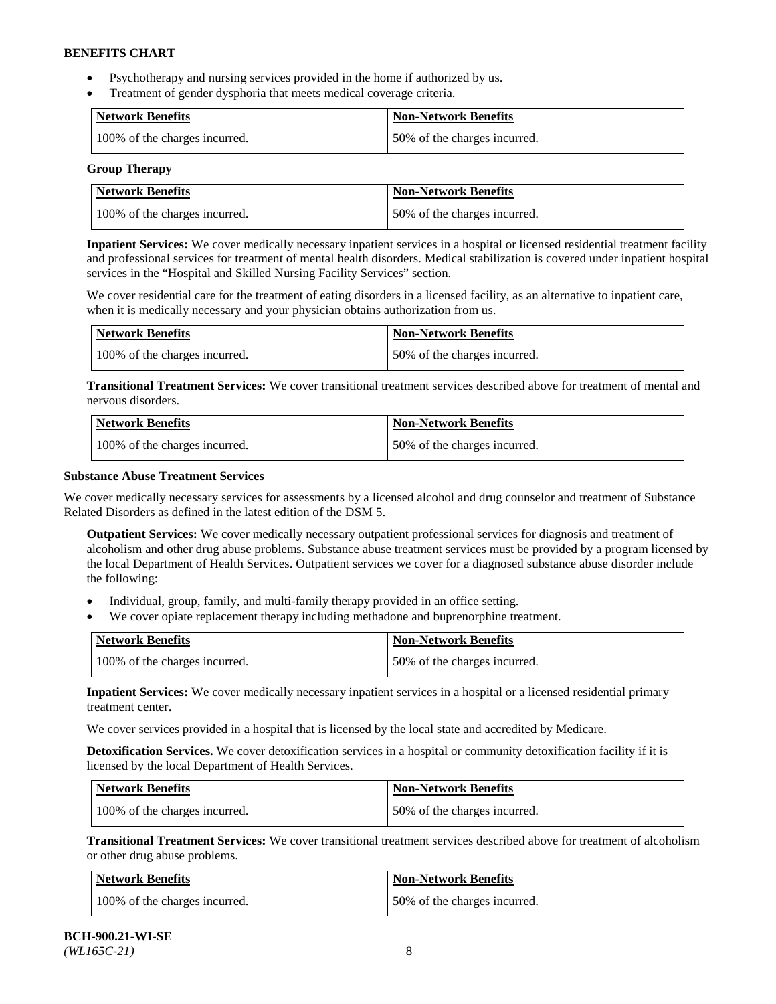- Psychotherapy and nursing services provided in the home if authorized by us.
- Treatment of gender dysphoria that meets medical coverage criteria.

| <b>Network Benefits</b>       | Non-Network Benefits         |
|-------------------------------|------------------------------|
| 100% of the charges incurred. | 50% of the charges incurred. |

#### **Group Therapy**

| Network Benefits              | <b>Non-Network Benefits</b>  |
|-------------------------------|------------------------------|
| 100% of the charges incurred. | 50% of the charges incurred. |

**Inpatient Services:** We cover medically necessary inpatient services in a hospital or licensed residential treatment facility and professional services for treatment of mental health disorders. Medical stabilization is covered under inpatient hospital services in the "Hospital and Skilled Nursing Facility Services" section.

We cover residential care for the treatment of eating disorders in a licensed facility, as an alternative to inpatient care, when it is medically necessary and your physician obtains authorization from us.

| <b>Network Benefits</b>       | <b>Non-Network Benefits</b>  |
|-------------------------------|------------------------------|
| 100% of the charges incurred. | 50% of the charges incurred. |

**Transitional Treatment Services:** We cover transitional treatment services described above for treatment of mental and nervous disorders.

| <b>Network Benefits</b>       | <b>Non-Network Benefits</b>  |
|-------------------------------|------------------------------|
| 100% of the charges incurred. | 50% of the charges incurred. |

### **Substance Abuse Treatment Services**

We cover medically necessary services for assessments by a licensed alcohol and drug counselor and treatment of Substance Related Disorders as defined in the latest edition of the DSM 5.

**Outpatient Services:** We cover medically necessary outpatient professional services for diagnosis and treatment of alcoholism and other drug abuse problems. Substance abuse treatment services must be provided by a program licensed by the local Department of Health Services. Outpatient services we cover for a diagnosed substance abuse disorder include the following:

- Individual, group, family, and multi-family therapy provided in an office setting.
- We cover opiate replacement therapy including methadone and buprenorphine treatment.

| <b>Network Benefits</b>       | <b>Non-Network Benefits</b>  |
|-------------------------------|------------------------------|
| 100% of the charges incurred. | 50% of the charges incurred. |

**Inpatient Services:** We cover medically necessary inpatient services in a hospital or a licensed residential primary treatment center.

We cover services provided in a hospital that is licensed by the local state and accredited by Medicare.

**Detoxification Services.** We cover detoxification services in a hospital or community detoxification facility if it is licensed by the local Department of Health Services.

| Network Benefits              | <b>Non-Network Benefits</b>  |
|-------------------------------|------------------------------|
| 100% of the charges incurred. | 50% of the charges incurred. |

**Transitional Treatment Services:** We cover transitional treatment services described above for treatment of alcoholism or other drug abuse problems.

| Network Benefits              | <b>Non-Network Benefits</b>  |
|-------------------------------|------------------------------|
| 100% of the charges incurred. | 50% of the charges incurred. |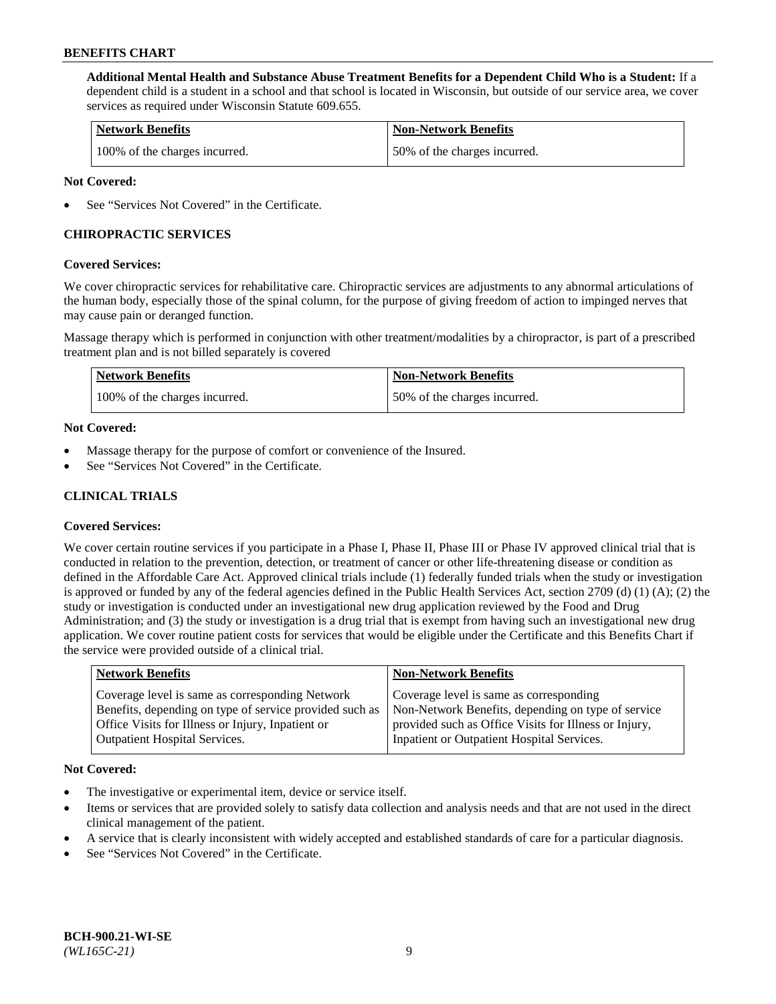**Additional Mental Health and Substance Abuse Treatment Benefits for a Dependent Child Who is a Student:** If a dependent child is a student in a school and that school is located in Wisconsin, but outside of our service area, we cover services as required under Wisconsin Statute 609.655.

| <b>Network Benefits</b>       | <b>Non-Network Benefits</b>  |
|-------------------------------|------------------------------|
| 100% of the charges incurred. | 50% of the charges incurred. |

### **Not Covered:**

See "Services Not Covered" in the Certificate.

### **CHIROPRACTIC SERVICES**

### **Covered Services:**

We cover chiropractic services for rehabilitative care. Chiropractic services are adjustments to any abnormal articulations of the human body, especially those of the spinal column, for the purpose of giving freedom of action to impinged nerves that may cause pain or deranged function.

Massage therapy which is performed in conjunction with other treatment/modalities by a chiropractor, is part of a prescribed treatment plan and is not billed separately is covered

| <b>Network Benefits</b>       | <b>Non-Network Benefits</b>  |
|-------------------------------|------------------------------|
| 100% of the charges incurred. | 50% of the charges incurred. |

### **Not Covered:**

- Massage therapy for the purpose of comfort or convenience of the Insured.
- See "Services Not Covered" in the Certificate.

# **CLINICAL TRIALS**

### **Covered Services:**

We cover certain routine services if you participate in a Phase I, Phase II, Phase III or Phase IV approved clinical trial that is conducted in relation to the prevention, detection, or treatment of cancer or other life-threatening disease or condition as defined in the Affordable Care Act. Approved clinical trials include (1) federally funded trials when the study or investigation is approved or funded by any of the federal agencies defined in the Public Health Services Act, section 2709 (d) (1) (A); (2) the study or investigation is conducted under an investigational new drug application reviewed by the Food and Drug Administration; and (3) the study or investigation is a drug trial that is exempt from having such an investigational new drug application. We cover routine patient costs for services that would be eligible under the Certificate and this Benefits Chart if the service were provided outside of a clinical trial.

| Coverage level is same as corresponding<br>Coverage level is same as corresponding Network<br>Non-Network Benefits, depending on type of service<br>Benefits, depending on type of service provided such as | <b>Network Benefits</b> | <b>Non-Network Benefits</b> |
|-------------------------------------------------------------------------------------------------------------------------------------------------------------------------------------------------------------|-------------------------|-----------------------------|
| Office Visits for Illness or Injury, Inpatient or<br>provided such as Office Visits for Illness or Injury,<br>Inpatient or Outpatient Hospital Services.<br><b>Outpatient Hospital Services.</b>            |                         |                             |

#### **Not Covered:**

- The investigative or experimental item, device or service itself.
- Items or services that are provided solely to satisfy data collection and analysis needs and that are not used in the direct clinical management of the patient.
- A service that is clearly inconsistent with widely accepted and established standards of care for a particular diagnosis.
- See "Services Not Covered" in the Certificate.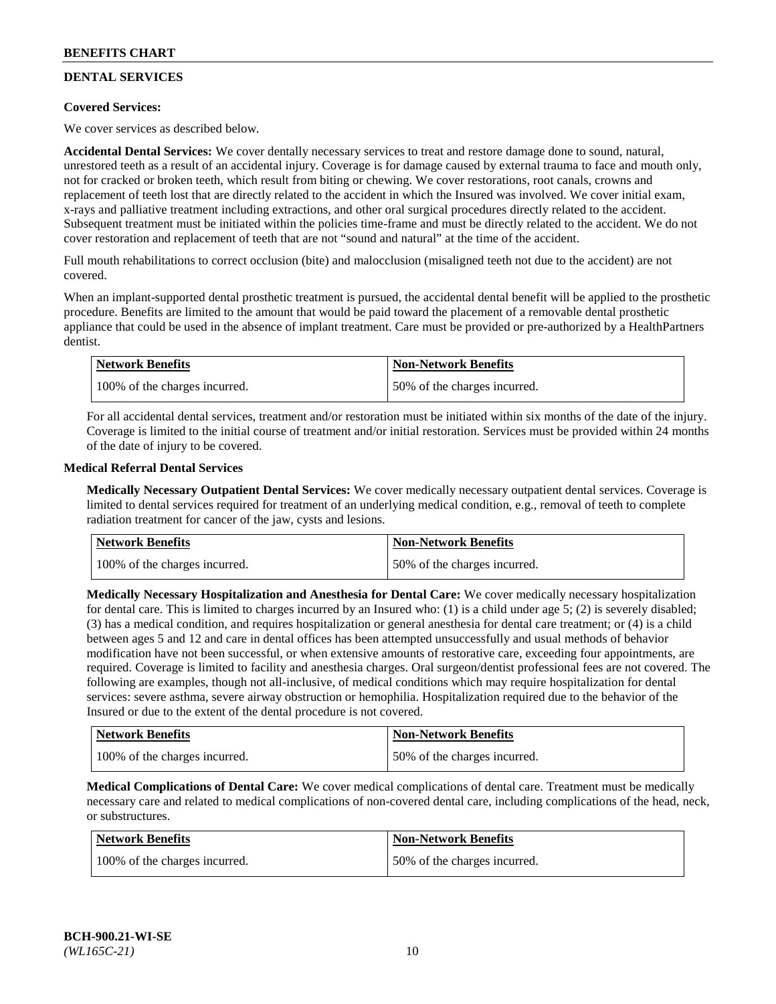# **DENTAL SERVICES**

### **Covered Services:**

We cover services as described below.

**Accidental Dental Services:** We cover dentally necessary services to treat and restore damage done to sound, natural, unrestored teeth as a result of an accidental injury. Coverage is for damage caused by external trauma to face and mouth only, not for cracked or broken teeth, which result from biting or chewing. We cover restorations, root canals, crowns and replacement of teeth lost that are directly related to the accident in which the Insured was involved. We cover initial exam, x-rays and palliative treatment including extractions, and other oral surgical procedures directly related to the accident. Subsequent treatment must be initiated within the policies time-frame and must be directly related to the accident. We do not cover restoration and replacement of teeth that are not "sound and natural" at the time of the accident.

Full mouth rehabilitations to correct occlusion (bite) and malocclusion (misaligned teeth not due to the accident) are not covered.

When an implant-supported dental prosthetic treatment is pursued, the accidental dental benefit will be applied to the prosthetic procedure. Benefits are limited to the amount that would be paid toward the placement of a removable dental prosthetic appliance that could be used in the absence of implant treatment. Care must be provided or pre-authorized by a HealthPartners dentist.

| <b>Network Benefits</b>       | <b>Non-Network Benefits</b>  |
|-------------------------------|------------------------------|
| 100% of the charges incurred. | 50% of the charges incurred. |

For all accidental dental services, treatment and/or restoration must be initiated within six months of the date of the injury. Coverage is limited to the initial course of treatment and/or initial restoration. Services must be provided within 24 months of the date of injury to be covered.

### **Medical Referral Dental Services**

**Medically Necessary Outpatient Dental Services:** We cover medically necessary outpatient dental services. Coverage is limited to dental services required for treatment of an underlying medical condition, e.g., removal of teeth to complete radiation treatment for cancer of the jaw, cysts and lesions.

| <b>Network Benefits</b>       | <b>Non-Network Benefits</b>  |
|-------------------------------|------------------------------|
| 100% of the charges incurred. | 50% of the charges incurred. |

**Medically Necessary Hospitalization and Anesthesia for Dental Care:** We cover medically necessary hospitalization for dental care. This is limited to charges incurred by an Insured who: (1) is a child under age  $5$ ; (2) is severely disabled; (3) has a medical condition, and requires hospitalization or general anesthesia for dental care treatment; or (4) is a child between ages 5 and 12 and care in dental offices has been attempted unsuccessfully and usual methods of behavior modification have not been successful, or when extensive amounts of restorative care, exceeding four appointments, are required. Coverage is limited to facility and anesthesia charges. Oral surgeon/dentist professional fees are not covered. The following are examples, though not all-inclusive, of medical conditions which may require hospitalization for dental services: severe asthma, severe airway obstruction or hemophilia. Hospitalization required due to the behavior of the Insured or due to the extent of the dental procedure is not covered.

| Network Benefits              | <b>Non-Network Benefits</b>  |
|-------------------------------|------------------------------|
| 100% of the charges incurred. | 50% of the charges incurred. |

**Medical Complications of Dental Care:** We cover medical complications of dental care. Treatment must be medically necessary care and related to medical complications of non-covered dental care, including complications of the head, neck, or substructures.

| Network Benefits              | <b>Non-Network Benefits</b>  |
|-------------------------------|------------------------------|
| 100% of the charges incurred. | 50% of the charges incurred. |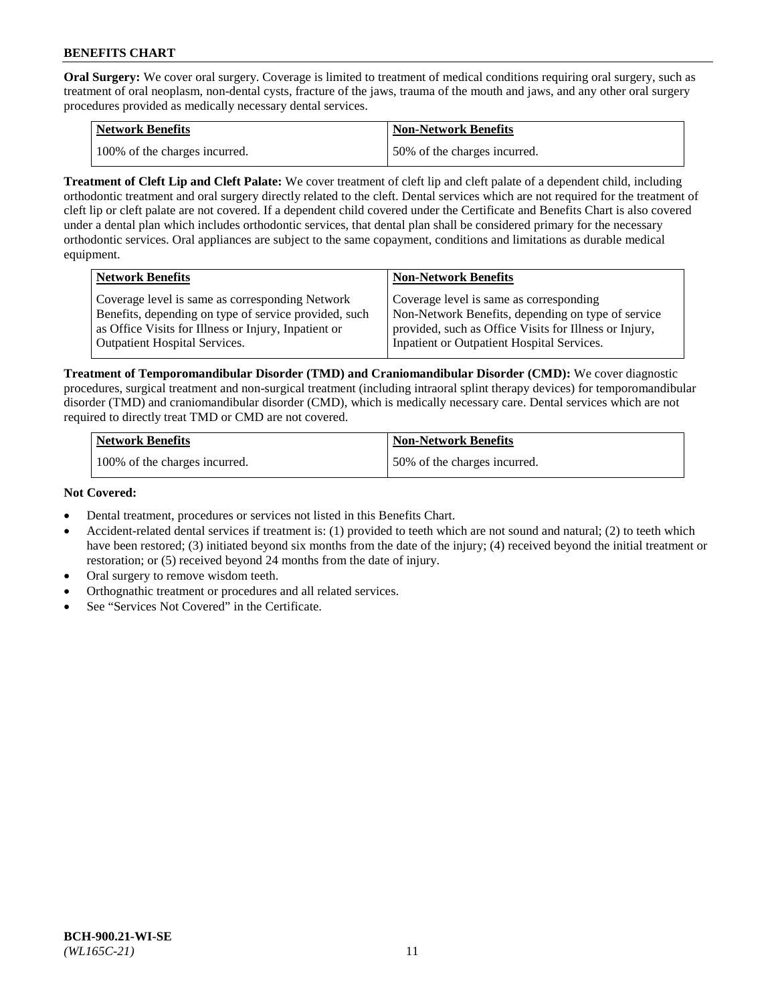**Oral Surgery:** We cover oral surgery. Coverage is limited to treatment of medical conditions requiring oral surgery, such as treatment of oral neoplasm, non-dental cysts, fracture of the jaws, trauma of the mouth and jaws, and any other oral surgery procedures provided as medically necessary dental services.

| <b>Network Benefits</b>       | Non-Network Benefits         |
|-------------------------------|------------------------------|
| 100% of the charges incurred. | 50% of the charges incurred. |

**Treatment of Cleft Lip and Cleft Palate:** We cover treatment of cleft lip and cleft palate of a dependent child, including orthodontic treatment and oral surgery directly related to the cleft. Dental services which are not required for the treatment of cleft lip or cleft palate are not covered. If a dependent child covered under the Certificate and Benefits Chart is also covered under a dental plan which includes orthodontic services, that dental plan shall be considered primary for the necessary orthodontic services. Oral appliances are subject to the same copayment, conditions and limitations as durable medical equipment.

| <b>Network Benefits</b>                               | <b>Non-Network Benefits</b>                            |
|-------------------------------------------------------|--------------------------------------------------------|
| Coverage level is same as corresponding Network       | Coverage level is same as corresponding                |
| Benefits, depending on type of service provided, such | Non-Network Benefits, depending on type of service     |
| as Office Visits for Illness or Injury, Inpatient or  | provided, such as Office Visits for Illness or Injury, |
| Outpatient Hospital Services.                         | Inpatient or Outpatient Hospital Services.             |

**Treatment of Temporomandibular Disorder (TMD) and Craniomandibular Disorder (CMD):** We cover diagnostic procedures, surgical treatment and non-surgical treatment (including intraoral splint therapy devices) for temporomandibular disorder (TMD) and craniomandibular disorder (CMD), which is medically necessary care. Dental services which are not required to directly treat TMD or CMD are not covered.

| <b>Network Benefits</b>       | <b>Non-Network Benefits</b>  |
|-------------------------------|------------------------------|
| 100% of the charges incurred. | 50% of the charges incurred. |

### **Not Covered:**

- Dental treatment, procedures or services not listed in this Benefits Chart.
- Accident-related dental services if treatment is: (1) provided to teeth which are not sound and natural; (2) to teeth which have been restored; (3) initiated beyond six months from the date of the injury; (4) received beyond the initial treatment or restoration; or (5) received beyond 24 months from the date of injury.
- Oral surgery to remove wisdom teeth.
- Orthognathic treatment or procedures and all related services.
- See "Services Not Covered" in the Certificate.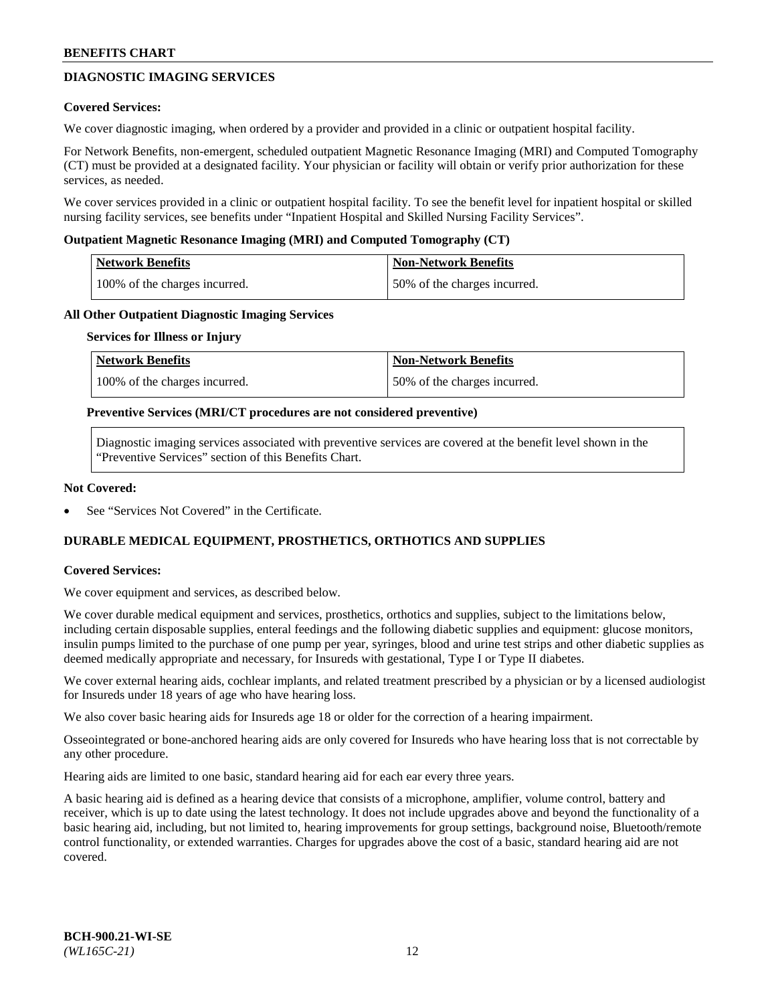# **DIAGNOSTIC IMAGING SERVICES**

### **Covered Services:**

We cover diagnostic imaging, when ordered by a provider and provided in a clinic or outpatient hospital facility.

For Network Benefits, non-emergent, scheduled outpatient Magnetic Resonance Imaging (MRI) and Computed Tomography (CT) must be provided at a designated facility. Your physician or facility will obtain or verify prior authorization for these services, as needed.

We cover services provided in a clinic or outpatient hospital facility. To see the benefit level for inpatient hospital or skilled nursing facility services, see benefits under "Inpatient Hospital and Skilled Nursing Facility Services".

### **Outpatient Magnetic Resonance Imaging (MRI) and Computed Tomography (CT)**

| <b>Network Benefits</b>       | <b>Non-Network Benefits</b>  |
|-------------------------------|------------------------------|
| 100% of the charges incurred. | 50% of the charges incurred. |

### **All Other Outpatient Diagnostic Imaging Services**

#### **Services for Illness or Injury**

| Network Benefits              | <b>Non-Network Benefits</b>  |
|-------------------------------|------------------------------|
| 100% of the charges incurred. | 50% of the charges incurred. |

### **Preventive Services (MRI/CT procedures are not considered preventive)**

Diagnostic imaging services associated with preventive services are covered at the benefit level shown in the "Preventive Services" section of this Benefits Chart.

### **Not Covered:**

See "Services Not Covered" in the Certificate.

# **DURABLE MEDICAL EQUIPMENT, PROSTHETICS, ORTHOTICS AND SUPPLIES**

### **Covered Services:**

We cover equipment and services, as described below.

We cover durable medical equipment and services, prosthetics, orthotics and supplies, subject to the limitations below, including certain disposable supplies, enteral feedings and the following diabetic supplies and equipment: glucose monitors, insulin pumps limited to the purchase of one pump per year, syringes, blood and urine test strips and other diabetic supplies as deemed medically appropriate and necessary, for Insureds with gestational, Type I or Type II diabetes.

We cover external hearing aids, cochlear implants, and related treatment prescribed by a physician or by a licensed audiologist for Insureds under 18 years of age who have hearing loss.

We also cover basic hearing aids for Insureds age 18 or older for the correction of a hearing impairment.

Osseointegrated or bone-anchored hearing aids are only covered for Insureds who have hearing loss that is not correctable by any other procedure.

Hearing aids are limited to one basic, standard hearing aid for each ear every three years.

A basic hearing aid is defined as a hearing device that consists of a microphone, amplifier, volume control, battery and receiver, which is up to date using the latest technology. It does not include upgrades above and beyond the functionality of a basic hearing aid, including, but not limited to, hearing improvements for group settings, background noise, Bluetooth/remote control functionality, or extended warranties. Charges for upgrades above the cost of a basic, standard hearing aid are not covered.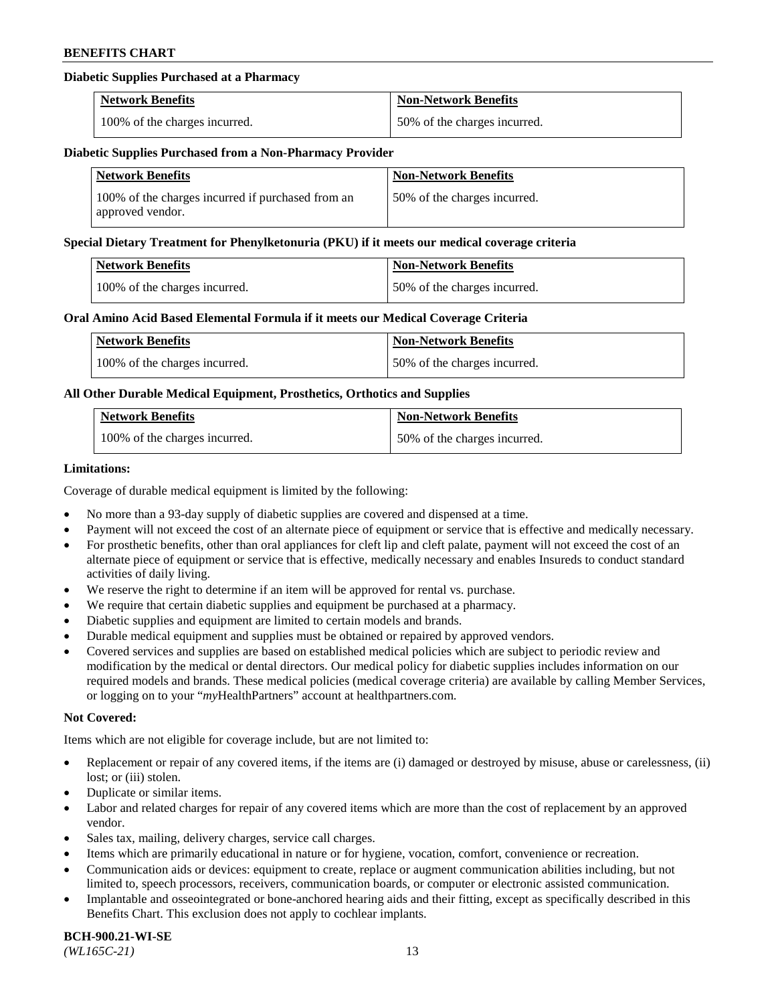### **Diabetic Supplies Purchased at a Pharmacy**

| <b>Network Benefits</b>       | <b>Non-Network Benefits</b>  |
|-------------------------------|------------------------------|
| 100% of the charges incurred. | 50% of the charges incurred. |

#### **Diabetic Supplies Purchased from a Non-Pharmacy Provider**

| <b>Network Benefits</b>                                               | <b>Non-Network Benefits</b>  |
|-----------------------------------------------------------------------|------------------------------|
| 100% of the charges incurred if purchased from an<br>approved vendor. | 50% of the charges incurred. |

#### **Special Dietary Treatment for Phenylketonuria (PKU) if it meets our medical coverage criteria**

| Network Benefits              | <b>Non-Network Benefits</b>  |
|-------------------------------|------------------------------|
| 100% of the charges incurred. | 50% of the charges incurred. |

### **Oral Amino Acid Based Elemental Formula if it meets our Medical Coverage Criteria**

| Network Benefits              | <b>Non-Network Benefits</b>  |
|-------------------------------|------------------------------|
| 100% of the charges incurred. | 50% of the charges incurred. |

### **All Other Durable Medical Equipment, Prosthetics, Orthotics and Supplies**

| <b>Network Benefits</b>       | <b>Non-Network Benefits</b>  |
|-------------------------------|------------------------------|
| 100% of the charges incurred. | 50% of the charges incurred. |

### **Limitations:**

Coverage of durable medical equipment is limited by the following:

- No more than a 93-day supply of diabetic supplies are covered and dispensed at a time.
- Payment will not exceed the cost of an alternate piece of equipment or service that is effective and medically necessary.
- For prosthetic benefits, other than oral appliances for cleft lip and cleft palate, payment will not exceed the cost of an alternate piece of equipment or service that is effective, medically necessary and enables Insureds to conduct standard activities of daily living.
- We reserve the right to determine if an item will be approved for rental vs. purchase.
- We require that certain diabetic supplies and equipment be purchased at a pharmacy.
- Diabetic supplies and equipment are limited to certain models and brands.
- Durable medical equipment and supplies must be obtained or repaired by approved vendors.
- Covered services and supplies are based on established medical policies which are subject to periodic review and modification by the medical or dental directors. Our medical policy for diabetic supplies includes information on our required models and brands. These medical policies (medical coverage criteria) are available by calling Member Services, or logging on to your "*my*HealthPartners" account a[t healthpartners.com.](https://www.healthpartners.com/hp/index.html)

#### **Not Covered:**

Items which are not eligible for coverage include, but are not limited to:

- Replacement or repair of any covered items, if the items are (i) damaged or destroyed by misuse, abuse or carelessness, (ii) lost; or (iii) stolen.
- Duplicate or similar items.
- Labor and related charges for repair of any covered items which are more than the cost of replacement by an approved vendor.
- Sales tax, mailing, delivery charges, service call charges.
- Items which are primarily educational in nature or for hygiene, vocation, comfort, convenience or recreation.
- Communication aids or devices: equipment to create, replace or augment communication abilities including, but not limited to, speech processors, receivers, communication boards, or computer or electronic assisted communication.
- Implantable and osseointegrated or bone-anchored hearing aids and their fitting, except as specifically described in this Benefits Chart. This exclusion does not apply to cochlear implants.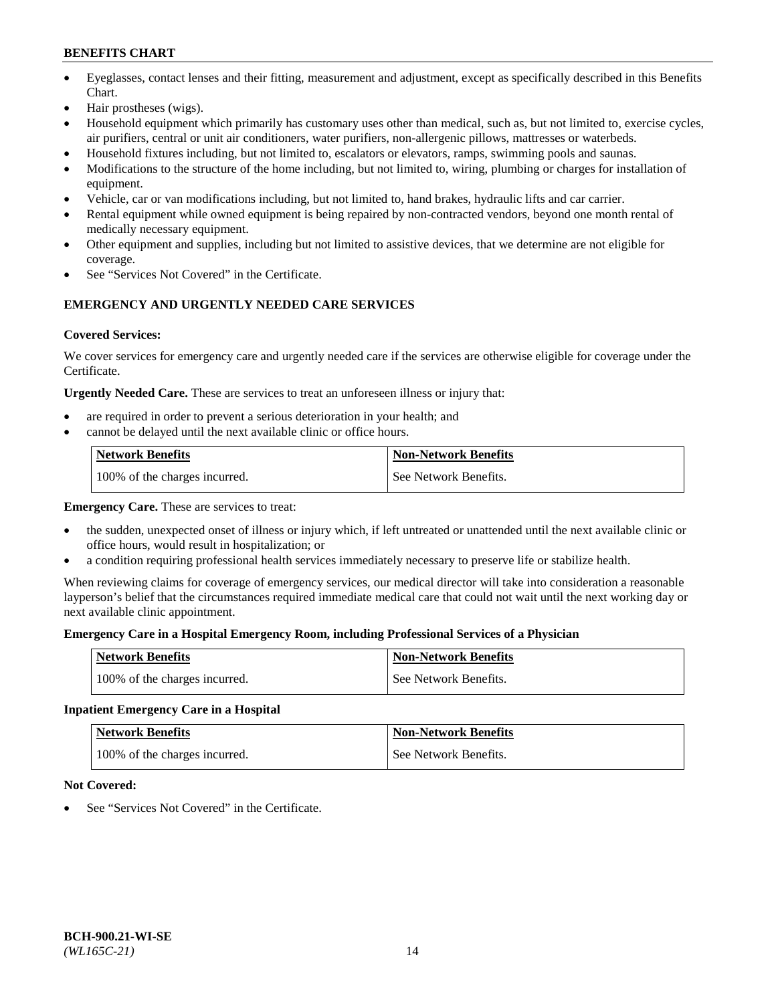- Eyeglasses, contact lenses and their fitting, measurement and adjustment, except as specifically described in this Benefits Chart.
- Hair prostheses (wigs).
- Household equipment which primarily has customary uses other than medical, such as, but not limited to, exercise cycles, air purifiers, central or unit air conditioners, water purifiers, non-allergenic pillows, mattresses or waterbeds.
- Household fixtures including, but not limited to, escalators or elevators, ramps, swimming pools and saunas.
- Modifications to the structure of the home including, but not limited to, wiring, plumbing or charges for installation of equipment.
- Vehicle, car or van modifications including, but not limited to, hand brakes, hydraulic lifts and car carrier.
- Rental equipment while owned equipment is being repaired by non-contracted vendors, beyond one month rental of medically necessary equipment.
- Other equipment and supplies, including but not limited to assistive devices, that we determine are not eligible for coverage.
- See "Services Not Covered" in the Certificate.

# **EMERGENCY AND URGENTLY NEEDED CARE SERVICES**

### **Covered Services:**

We cover services for emergency care and urgently needed care if the services are otherwise eligible for coverage under the Certificate.

**Urgently Needed Care.** These are services to treat an unforeseen illness or injury that:

- are required in order to prevent a serious deterioration in your health; and
- cannot be delayed until the next available clinic or office hours.

| <b>Network Benefits</b>       | <b>Non-Network Benefits</b> |
|-------------------------------|-----------------------------|
| 100% of the charges incurred. | See Network Benefits.       |

**Emergency Care.** These are services to treat:

- the sudden, unexpected onset of illness or injury which, if left untreated or unattended until the next available clinic or office hours, would result in hospitalization; or
- a condition requiring professional health services immediately necessary to preserve life or stabilize health.

When reviewing claims for coverage of emergency services, our medical director will take into consideration a reasonable layperson's belief that the circumstances required immediate medical care that could not wait until the next working day or next available clinic appointment.

### **Emergency Care in a Hospital Emergency Room, including Professional Services of a Physician**

| <b>Network Benefits</b>       | <b>Non-Network Benefits</b> |
|-------------------------------|-----------------------------|
| 100% of the charges incurred. | See Network Benefits.       |

# **Inpatient Emergency Care in a Hospital**

| <b>Network Benefits</b>       | <b>Non-Network Benefits</b> |
|-------------------------------|-----------------------------|
| 100% of the charges incurred. | See Network Benefits.       |

### **Not Covered:**

See "Services Not Covered" in the Certificate.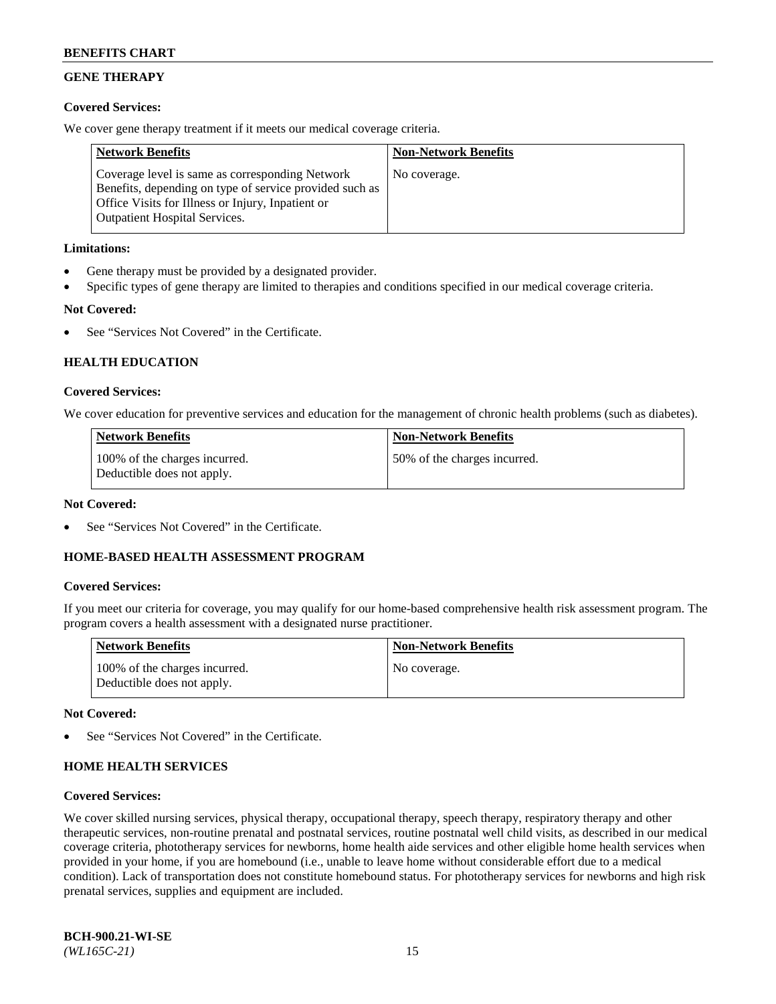# **GENE THERAPY**

### **Covered Services:**

We cover gene therapy treatment if it meets our medical coverage criteria.

| <b>Network Benefits</b>                                                                                                                                                                                 | <b>Non-Network Benefits</b> |
|---------------------------------------------------------------------------------------------------------------------------------------------------------------------------------------------------------|-----------------------------|
| Coverage level is same as corresponding Network<br>Benefits, depending on type of service provided such as<br>Office Visits for Illness or Injury, Inpatient or<br><b>Outpatient Hospital Services.</b> | No coverage.                |

### **Limitations:**

- Gene therapy must be provided by a designated provider.
- Specific types of gene therapy are limited to therapies and conditions specified in our medical coverage criteria.

# **Not Covered:**

See "Services Not Covered" in the Certificate.

### **HEALTH EDUCATION**

### **Covered Services:**

We cover education for preventive services and education for the management of chronic health problems (such as diabetes).

| <b>Network Benefits</b>                                     | <b>Non-Network Benefits</b>  |
|-------------------------------------------------------------|------------------------------|
| 100% of the charges incurred.<br>Deductible does not apply. | 50% of the charges incurred. |

#### **Not Covered:**

See "Services Not Covered" in the Certificate.

### **HOME-BASED HEALTH ASSESSMENT PROGRAM**

#### **Covered Services:**

If you meet our criteria for coverage, you may qualify for our home-based comprehensive health risk assessment program. The program covers a health assessment with a designated nurse practitioner.

| Network Benefits                                            | <b>Non-Network Benefits</b> |
|-------------------------------------------------------------|-----------------------------|
| 100% of the charges incurred.<br>Deductible does not apply. | No coverage.                |

#### **Not Covered:**

See "Services Not Covered" in the Certificate.

### **HOME HEALTH SERVICES**

#### **Covered Services:**

We cover skilled nursing services, physical therapy, occupational therapy, speech therapy, respiratory therapy and other therapeutic services, non-routine prenatal and postnatal services, routine postnatal well child visits, as described in our medical coverage criteria, phototherapy services for newborns, home health aide services and other eligible home health services when provided in your home, if you are homebound (i.e., unable to leave home without considerable effort due to a medical condition). Lack of transportation does not constitute homebound status. For phototherapy services for newborns and high risk prenatal services, supplies and equipment are included.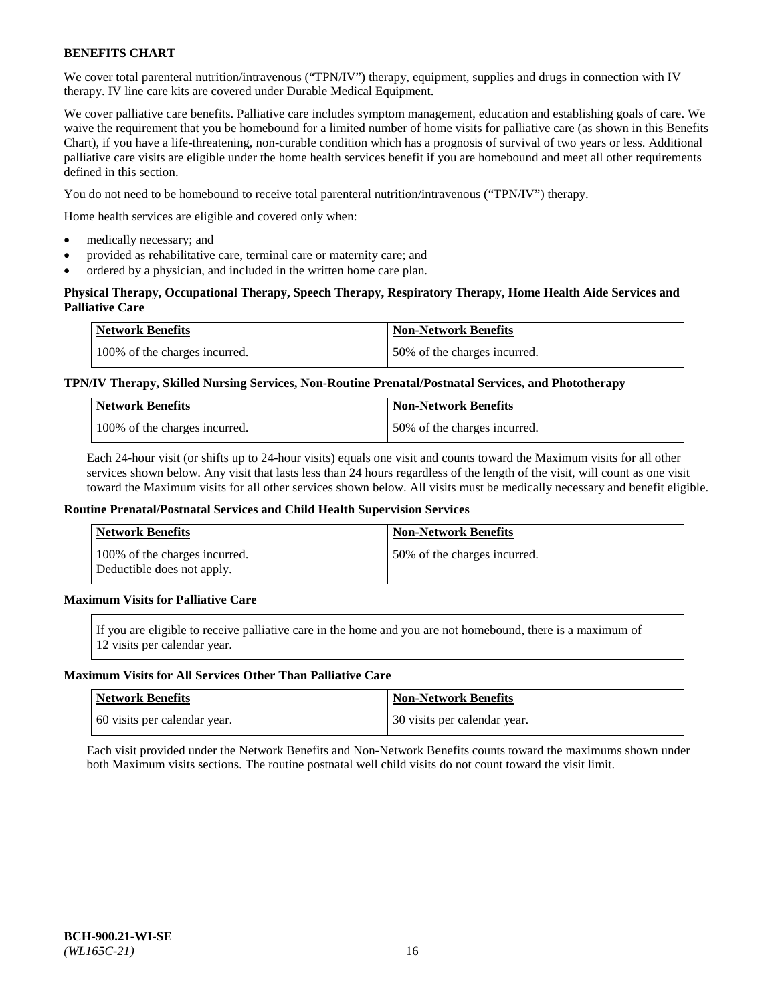We cover total parenteral nutrition/intravenous ("TPN/IV") therapy, equipment, supplies and drugs in connection with IV therapy. IV line care kits are covered under Durable Medical Equipment.

We cover palliative care benefits. Palliative care includes symptom management, education and establishing goals of care. We waive the requirement that you be homebound for a limited number of home visits for palliative care (as shown in this Benefits Chart), if you have a life-threatening, non-curable condition which has a prognosis of survival of two years or less. Additional palliative care visits are eligible under the home health services benefit if you are homebound and meet all other requirements defined in this section.

You do not need to be homebound to receive total parenteral nutrition/intravenous ("TPN/IV") therapy.

Home health services are eligible and covered only when:

- medically necessary; and
- provided as rehabilitative care, terminal care or maternity care; and
- ordered by a physician, and included in the written home care plan.

### **Physical Therapy, Occupational Therapy, Speech Therapy, Respiratory Therapy, Home Health Aide Services and Palliative Care**

| <b>Network Benefits</b>       | <b>Non-Network Benefits</b>  |
|-------------------------------|------------------------------|
| 100% of the charges incurred. | 50% of the charges incurred. |

### **TPN/IV Therapy, Skilled Nursing Services, Non-Routine Prenatal/Postnatal Services, and Phototherapy**

| <b>Network Benefits</b>       | <b>Non-Network Benefits</b>  |
|-------------------------------|------------------------------|
| 100% of the charges incurred. | 50% of the charges incurred. |

Each 24-hour visit (or shifts up to 24-hour visits) equals one visit and counts toward the Maximum visits for all other services shown below. Any visit that lasts less than 24 hours regardless of the length of the visit, will count as one visit toward the Maximum visits for all other services shown below. All visits must be medically necessary and benefit eligible.

#### **Routine Prenatal/Postnatal Services and Child Health Supervision Services**

| Network Benefits                                            | <b>Non-Network Benefits</b>  |
|-------------------------------------------------------------|------------------------------|
| 100% of the charges incurred.<br>Deductible does not apply. | 50% of the charges incurred. |

# **Maximum Visits for Palliative Care**

If you are eligible to receive palliative care in the home and you are not homebound, there is a maximum of 12 visits per calendar year.

#### **Maximum Visits for All Services Other Than Palliative Care**

| Network Benefits             | <b>Non-Network Benefits</b>    |
|------------------------------|--------------------------------|
| 60 visits per calendar year. | 1 30 visits per calendar year. |

Each visit provided under the Network Benefits and Non-Network Benefits counts toward the maximums shown under both Maximum visits sections. The routine postnatal well child visits do not count toward the visit limit.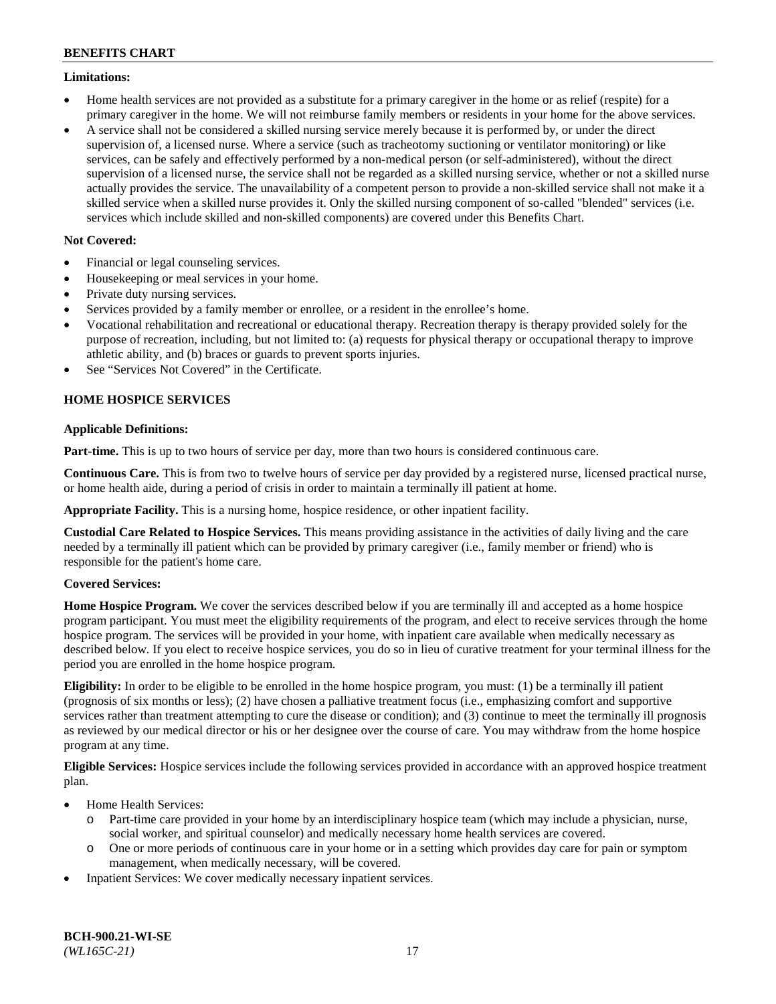### **Limitations:**

- Home health services are not provided as a substitute for a primary caregiver in the home or as relief (respite) for a primary caregiver in the home. We will not reimburse family members or residents in your home for the above services.
- A service shall not be considered a skilled nursing service merely because it is performed by, or under the direct supervision of, a licensed nurse. Where a service (such as tracheotomy suctioning or ventilator monitoring) or like services, can be safely and effectively performed by a non-medical person (or self-administered), without the direct supervision of a licensed nurse, the service shall not be regarded as a skilled nursing service, whether or not a skilled nurse actually provides the service. The unavailability of a competent person to provide a non-skilled service shall not make it a skilled service when a skilled nurse provides it. Only the skilled nursing component of so-called "blended" services (i.e. services which include skilled and non-skilled components) are covered under this Benefits Chart.

### **Not Covered:**

- Financial or legal counseling services.
- Housekeeping or meal services in your home.
- Private duty nursing services.
- Services provided by a family member or enrollee, or a resident in the enrollee's home.
- Vocational rehabilitation and recreational or educational therapy. Recreation therapy is therapy provided solely for the purpose of recreation, including, but not limited to: (a) requests for physical therapy or occupational therapy to improve athletic ability, and (b) braces or guards to prevent sports injuries.
- See "Services Not Covered" in the Certificate.

# **HOME HOSPICE SERVICES**

### **Applicable Definitions:**

**Part-time.** This is up to two hours of service per day, more than two hours is considered continuous care.

**Continuous Care.** This is from two to twelve hours of service per day provided by a registered nurse, licensed practical nurse, or home health aide, during a period of crisis in order to maintain a terminally ill patient at home.

**Appropriate Facility.** This is a nursing home, hospice residence, or other inpatient facility.

**Custodial Care Related to Hospice Services.** This means providing assistance in the activities of daily living and the care needed by a terminally ill patient which can be provided by primary caregiver (i.e., family member or friend) who is responsible for the patient's home care.

### **Covered Services:**

**Home Hospice Program.** We cover the services described below if you are terminally ill and accepted as a home hospice program participant. You must meet the eligibility requirements of the program, and elect to receive services through the home hospice program. The services will be provided in your home, with inpatient care available when medically necessary as described below. If you elect to receive hospice services, you do so in lieu of curative treatment for your terminal illness for the period you are enrolled in the home hospice program.

**Eligibility:** In order to be eligible to be enrolled in the home hospice program, you must: (1) be a terminally ill patient (prognosis of six months or less); (2) have chosen a palliative treatment focus (i.e., emphasizing comfort and supportive services rather than treatment attempting to cure the disease or condition); and (3) continue to meet the terminally ill prognosis as reviewed by our medical director or his or her designee over the course of care. You may withdraw from the home hospice program at any time.

**Eligible Services:** Hospice services include the following services provided in accordance with an approved hospice treatment plan.

- Home Health Services:
	- o Part-time care provided in your home by an interdisciplinary hospice team (which may include a physician, nurse, social worker, and spiritual counselor) and medically necessary home health services are covered.
	- o One or more periods of continuous care in your home or in a setting which provides day care for pain or symptom management, when medically necessary, will be covered.
- Inpatient Services: We cover medically necessary inpatient services.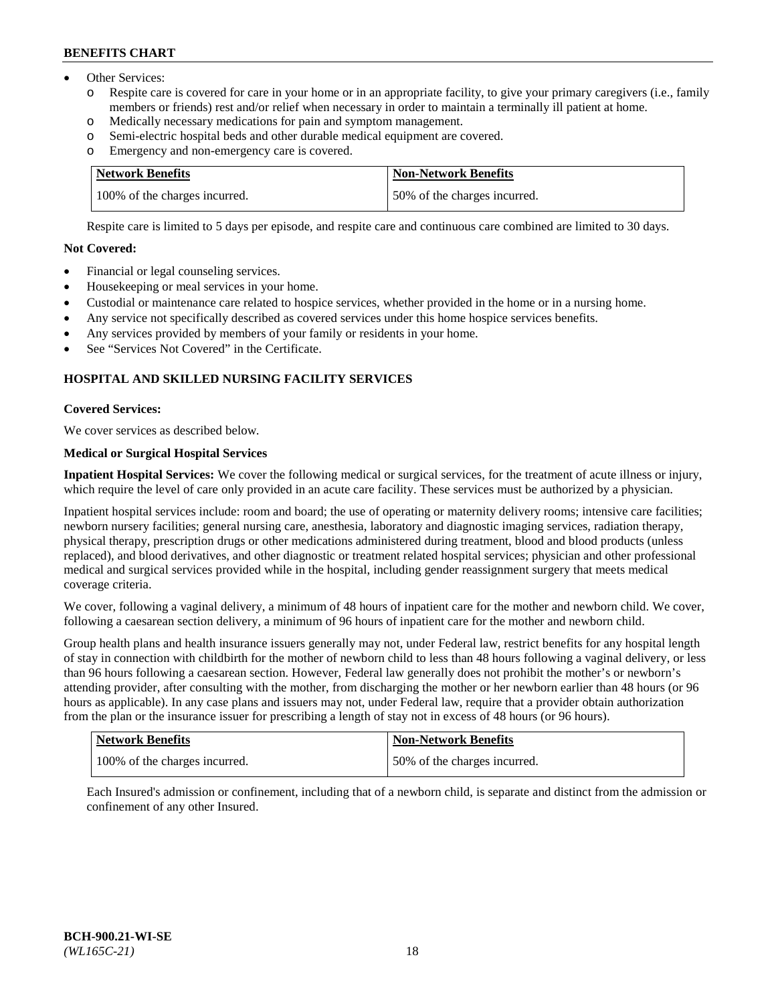- Other Services:
	- Respite care is covered for care in your home or in an appropriate facility, to give your primary caregivers (i.e., family members or friends) rest and/or relief when necessary in order to maintain a terminally ill patient at home.
	- o Medically necessary medications for pain and symptom management.
	- o Semi-electric hospital beds and other durable medical equipment are covered.
	- Emergency and non-emergency care is covered.

| Network Benefits              | <b>Non-Network Benefits</b>  |
|-------------------------------|------------------------------|
| 100% of the charges incurred. | 50% of the charges incurred. |

Respite care is limited to 5 days per episode, and respite care and continuous care combined are limited to 30 days.

# **Not Covered:**

- Financial or legal counseling services.
- Housekeeping or meal services in your home.
- Custodial or maintenance care related to hospice services, whether provided in the home or in a nursing home.
- Any service not specifically described as covered services under this home hospice services benefits.
- Any services provided by members of your family or residents in your home.
- See "Services Not Covered" in the Certificate.

# **HOSPITAL AND SKILLED NURSING FACILITY SERVICES**

### **Covered Services:**

We cover services as described below.

# **Medical or Surgical Hospital Services**

**Inpatient Hospital Services:** We cover the following medical or surgical services, for the treatment of acute illness or injury, which require the level of care only provided in an acute care facility. These services must be authorized by a physician.

Inpatient hospital services include: room and board; the use of operating or maternity delivery rooms; intensive care facilities; newborn nursery facilities; general nursing care, anesthesia, laboratory and diagnostic imaging services, radiation therapy, physical therapy, prescription drugs or other medications administered during treatment, blood and blood products (unless replaced), and blood derivatives, and other diagnostic or treatment related hospital services; physician and other professional medical and surgical services provided while in the hospital, including gender reassignment surgery that meets medical coverage criteria.

We cover, following a vaginal delivery, a minimum of 48 hours of inpatient care for the mother and newborn child. We cover, following a caesarean section delivery, a minimum of 96 hours of inpatient care for the mother and newborn child.

Group health plans and health insurance issuers generally may not, under Federal law, restrict benefits for any hospital length of stay in connection with childbirth for the mother of newborn child to less than 48 hours following a vaginal delivery, or less than 96 hours following a caesarean section. However, Federal law generally does not prohibit the mother's or newborn's attending provider, after consulting with the mother, from discharging the mother or her newborn earlier than 48 hours (or 96 hours as applicable). In any case plans and issuers may not, under Federal law, require that a provider obtain authorization from the plan or the insurance issuer for prescribing a length of stay not in excess of 48 hours (or 96 hours).

| <b>Network Benefits</b>       | Non-Network Benefits         |
|-------------------------------|------------------------------|
| 100% of the charges incurred. | 50% of the charges incurred. |

Each Insured's admission or confinement, including that of a newborn child, is separate and distinct from the admission or confinement of any other Insured.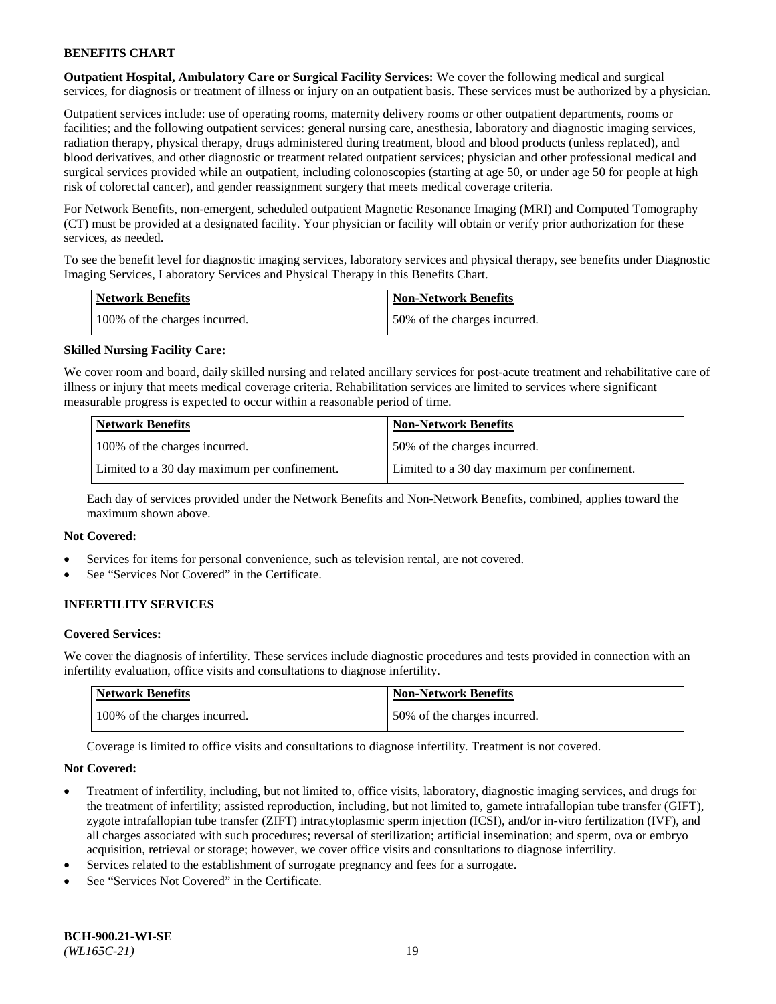**Outpatient Hospital, Ambulatory Care or Surgical Facility Services:** We cover the following medical and surgical services, for diagnosis or treatment of illness or injury on an outpatient basis. These services must be authorized by a physician.

Outpatient services include: use of operating rooms, maternity delivery rooms or other outpatient departments, rooms or facilities; and the following outpatient services: general nursing care, anesthesia, laboratory and diagnostic imaging services, radiation therapy, physical therapy, drugs administered during treatment, blood and blood products (unless replaced), and blood derivatives, and other diagnostic or treatment related outpatient services; physician and other professional medical and surgical services provided while an outpatient, including colonoscopies (starting at age 50, or under age 50 for people at high risk of colorectal cancer), and gender reassignment surgery that meets medical coverage criteria.

For Network Benefits, non-emergent, scheduled outpatient Magnetic Resonance Imaging (MRI) and Computed Tomography (CT) must be provided at a designated facility. Your physician or facility will obtain or verify prior authorization for these services, as needed.

To see the benefit level for diagnostic imaging services, laboratory services and physical therapy, see benefits under Diagnostic Imaging Services, Laboratory Services and Physical Therapy in this Benefits Chart.

| <b>Network Benefits</b>       | <b>Non-Network Benefits</b>  |
|-------------------------------|------------------------------|
| 100% of the charges incurred. | 50% of the charges incurred. |

### **Skilled Nursing Facility Care:**

We cover room and board, daily skilled nursing and related ancillary services for post-acute treatment and rehabilitative care of illness or injury that meets medical coverage criteria. Rehabilitation services are limited to services where significant measurable progress is expected to occur within a reasonable period of time.

| <b>Network Benefits</b>                      | <b>Non-Network Benefits</b>                  |
|----------------------------------------------|----------------------------------------------|
| 100% of the charges incurred.                | 150% of the charges incurred.                |
| Limited to a 30 day maximum per confinement. | Limited to a 30 day maximum per confinement. |

Each day of services provided under the Network Benefits and Non-Network Benefits, combined, applies toward the maximum shown above.

#### **Not Covered:**

- Services for items for personal convenience, such as television rental, are not covered.
- See "Services Not Covered" in the Certificate.

### **INFERTILITY SERVICES**

#### **Covered Services:**

We cover the diagnosis of infertility. These services include diagnostic procedures and tests provided in connection with an infertility evaluation, office visits and consultations to diagnose infertility.

| <b>Network Benefits</b>       | <b>Non-Network Benefits</b>  |
|-------------------------------|------------------------------|
| 100% of the charges incurred. | 50% of the charges incurred. |

Coverage is limited to office visits and consultations to diagnose infertility. Treatment is not covered.

#### **Not Covered:**

- Treatment of infertility, including, but not limited to, office visits, laboratory, diagnostic imaging services, and drugs for the treatment of infertility; assisted reproduction, including, but not limited to, gamete intrafallopian tube transfer (GIFT), zygote intrafallopian tube transfer (ZIFT) intracytoplasmic sperm injection (ICSI), and/or in-vitro fertilization (IVF), and all charges associated with such procedures; reversal of sterilization; artificial insemination; and sperm, ova or embryo acquisition, retrieval or storage; however, we cover office visits and consultations to diagnose infertility.
- Services related to the establishment of surrogate pregnancy and fees for a surrogate.
- See "Services Not Covered" in the Certificate.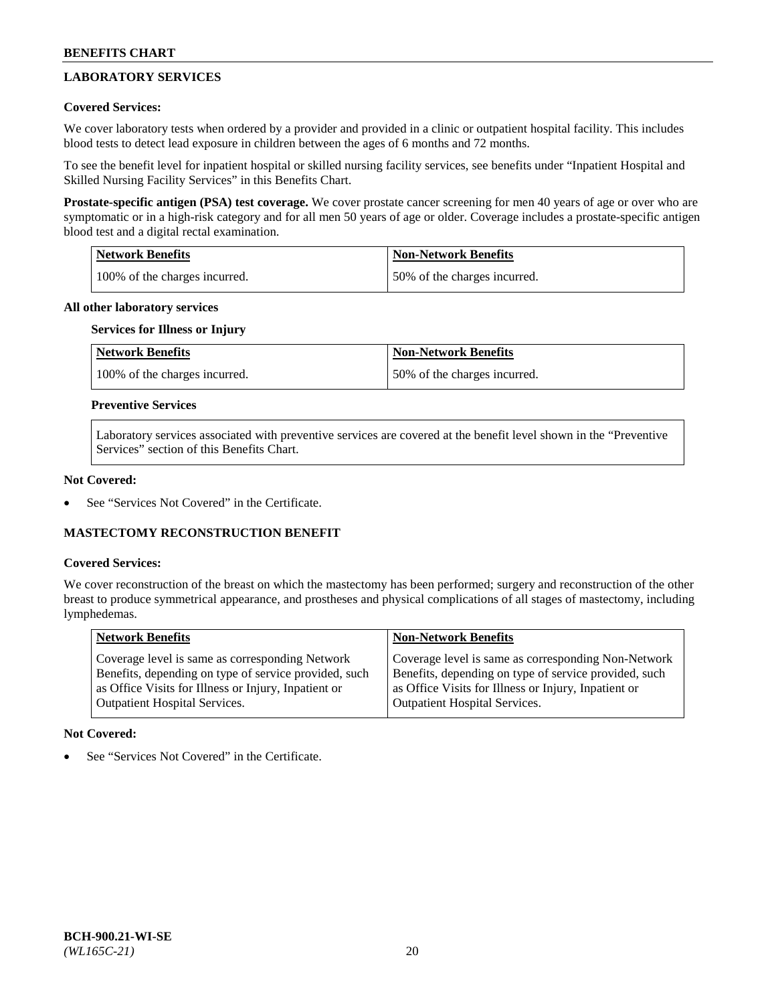# **LABORATORY SERVICES**

### **Covered Services:**

We cover laboratory tests when ordered by a provider and provided in a clinic or outpatient hospital facility. This includes blood tests to detect lead exposure in children between the ages of 6 months and 72 months.

To see the benefit level for inpatient hospital or skilled nursing facility services, see benefits under "Inpatient Hospital and Skilled Nursing Facility Services" in this Benefits Chart.

**Prostate-specific antigen (PSA) test coverage.** We cover prostate cancer screening for men 40 years of age or over who are symptomatic or in a high-risk category and for all men 50 years of age or older. Coverage includes a prostate-specific antigen blood test and a digital rectal examination.

| Network Benefits              | <b>Non-Network Benefits</b>  |
|-------------------------------|------------------------------|
| 100% of the charges incurred. | 50% of the charges incurred. |

### **All other laboratory services**

# **Services for Illness or Injury**

| <b>Network Benefits</b>       | <b>Non-Network Benefits</b>  |
|-------------------------------|------------------------------|
| 100% of the charges incurred. | 50% of the charges incurred. |

### **Preventive Services**

Laboratory services associated with preventive services are covered at the benefit level shown in the "Preventive Services" section of this Benefits Chart.

### **Not Covered:**

See "Services Not Covered" in the Certificate.

### **MASTECTOMY RECONSTRUCTION BENEFIT**

#### **Covered Services:**

We cover reconstruction of the breast on which the mastectomy has been performed; surgery and reconstruction of the other breast to produce symmetrical appearance, and prostheses and physical complications of all stages of mastectomy, including lymphedemas.

| <b>Network Benefits</b>                               | <b>Non-Network Benefits</b>                           |
|-------------------------------------------------------|-------------------------------------------------------|
| Coverage level is same as corresponding Network       | Coverage level is same as corresponding Non-Network   |
| Benefits, depending on type of service provided, such | Benefits, depending on type of service provided, such |
| as Office Visits for Illness or Injury, Inpatient or  | as Office Visits for Illness or Injury, Inpatient or  |
| Outpatient Hospital Services.                         | <b>Outpatient Hospital Services.</b>                  |

#### **Not Covered:**

See "Services Not Covered" in the Certificate.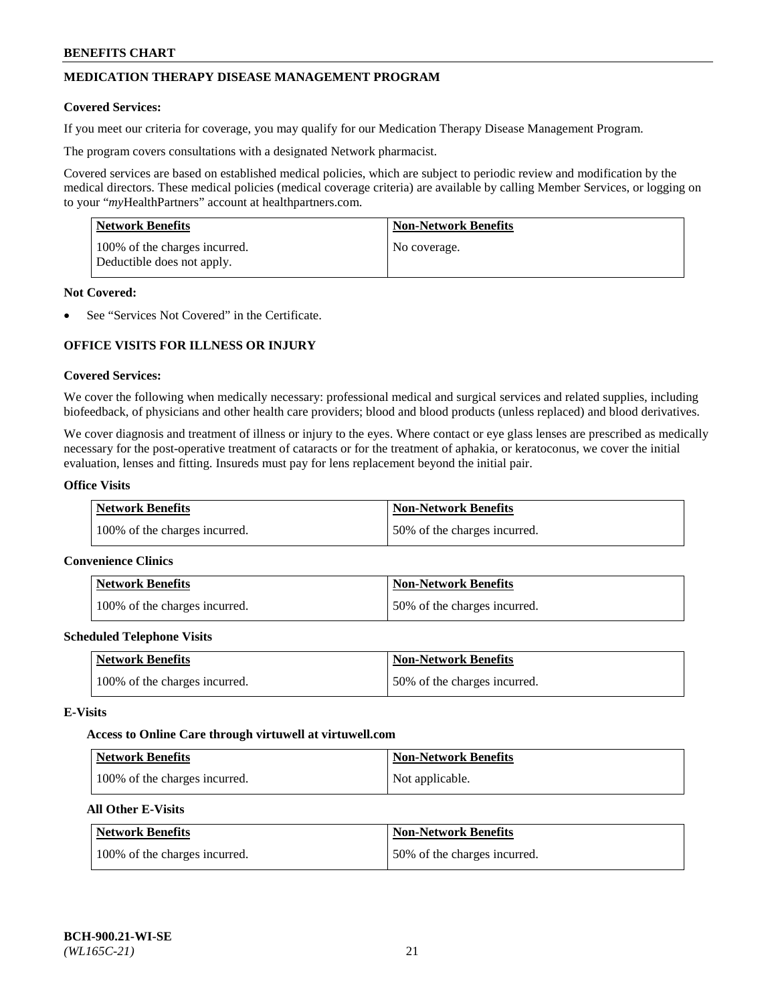# **MEDICATION THERAPY DISEASE MANAGEMENT PROGRAM**

### **Covered Services:**

If you meet our criteria for coverage, you may qualify for our Medication Therapy Disease Management Program.

The program covers consultations with a designated Network pharmacist.

Covered services are based on established medical policies, which are subject to periodic review and modification by the medical directors. These medical policies (medical coverage criteria) are available by calling Member Services, or logging on to your "*my*HealthPartners" account at [healthpartners.com.](http://www.healthpartners.com/)

| Network Benefits                                            | <b>Non-Network Benefits</b> |
|-------------------------------------------------------------|-----------------------------|
| 100% of the charges incurred.<br>Deductible does not apply. | No coverage.                |

### **Not Covered:**

See "Services Not Covered" in the Certificate.

# **OFFICE VISITS FOR ILLNESS OR INJURY**

### **Covered Services:**

We cover the following when medically necessary: professional medical and surgical services and related supplies, including biofeedback, of physicians and other health care providers; blood and blood products (unless replaced) and blood derivatives.

We cover diagnosis and treatment of illness or injury to the eyes. Where contact or eye glass lenses are prescribed as medically necessary for the post-operative treatment of cataracts or for the treatment of aphakia, or keratoconus, we cover the initial evaluation, lenses and fitting. Insureds must pay for lens replacement beyond the initial pair.

# **Office Visits**

| Network Benefits              | <b>Non-Network Benefits</b>  |
|-------------------------------|------------------------------|
| 100% of the charges incurred. | 50% of the charges incurred. |

#### **Convenience Clinics**

| Network Benefits              | <b>Non-Network Benefits</b>  |
|-------------------------------|------------------------------|
| 100% of the charges incurred. | 50% of the charges incurred. |

#### **Scheduled Telephone Visits**

| <b>Network Benefits</b>       | Non-Network Benefits         |
|-------------------------------|------------------------------|
| 100% of the charges incurred. | 50% of the charges incurred. |

### **E-Visits**

#### **Access to Online Care through virtuwell a[t virtuwell.com](https://www.virtuwell.com/)**

| Network Benefits              | <b>Non-Network Benefits</b> |
|-------------------------------|-----------------------------|
| 100% of the charges incurred. | Not applicable.             |

# **All Other E-Visits**

| <b>Network Benefits</b>       | <b>Non-Network Benefits</b>  |
|-------------------------------|------------------------------|
| 100% of the charges incurred. | 50% of the charges incurred. |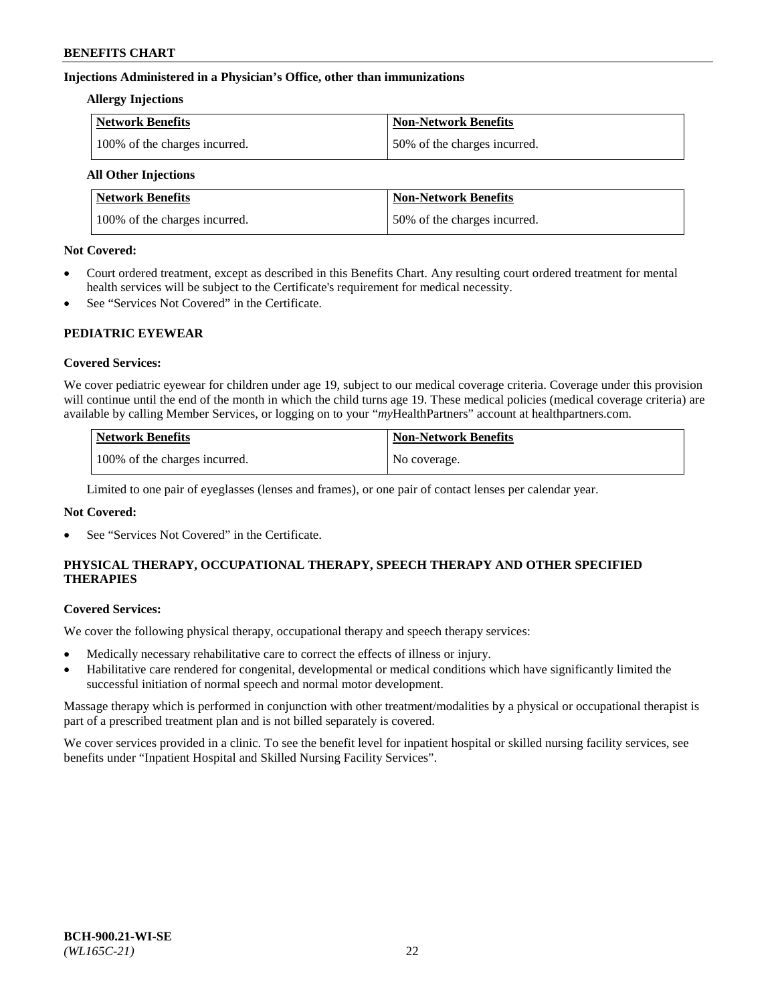### **Injections Administered in a Physician's Office, other than immunizations**

### **Allergy Injections**

| Network Benefits              | <b>Non-Network Benefits</b>  |
|-------------------------------|------------------------------|
| 100% of the charges incurred. | 50% of the charges incurred. |

# **All Other Injections**

| <b>Network Benefits</b>       | <b>Non-Network Benefits</b>  |
|-------------------------------|------------------------------|
| 100% of the charges incurred. | 50% of the charges incurred. |

### **Not Covered:**

- Court ordered treatment, except as described in this Benefits Chart. Any resulting court ordered treatment for mental health services will be subject to the Certificate's requirement for medical necessity.
- See "Services Not Covered" in the Certificate.

### **PEDIATRIC EYEWEAR**

### **Covered Services:**

We cover pediatric eyewear for children under age 19, subject to our medical coverage criteria. Coverage under this provision will continue until the end of the month in which the child turns age 19. These medical policies (medical coverage criteria) are available by calling Member Services, or logging on to your "*my*HealthPartners" account a[t healthpartners.com.](https://www.healthpartners.com/hp/index.html)

| Network Benefits              | <b>Non-Network Benefits</b> |
|-------------------------------|-----------------------------|
| 100% of the charges incurred. | No coverage.                |

Limited to one pair of eyeglasses (lenses and frames), or one pair of contact lenses per calendar year.

### **Not Covered:**

See "Services Not Covered" in the Certificate.

# **PHYSICAL THERAPY, OCCUPATIONAL THERAPY, SPEECH THERAPY AND OTHER SPECIFIED THERAPIES**

#### **Covered Services:**

We cover the following physical therapy, occupational therapy and speech therapy services:

- Medically necessary rehabilitative care to correct the effects of illness or injury.
- Habilitative care rendered for congenital, developmental or medical conditions which have significantly limited the successful initiation of normal speech and normal motor development.

Massage therapy which is performed in conjunction with other treatment/modalities by a physical or occupational therapist is part of a prescribed treatment plan and is not billed separately is covered.

We cover services provided in a clinic. To see the benefit level for inpatient hospital or skilled nursing facility services, see benefits under "Inpatient Hospital and Skilled Nursing Facility Services".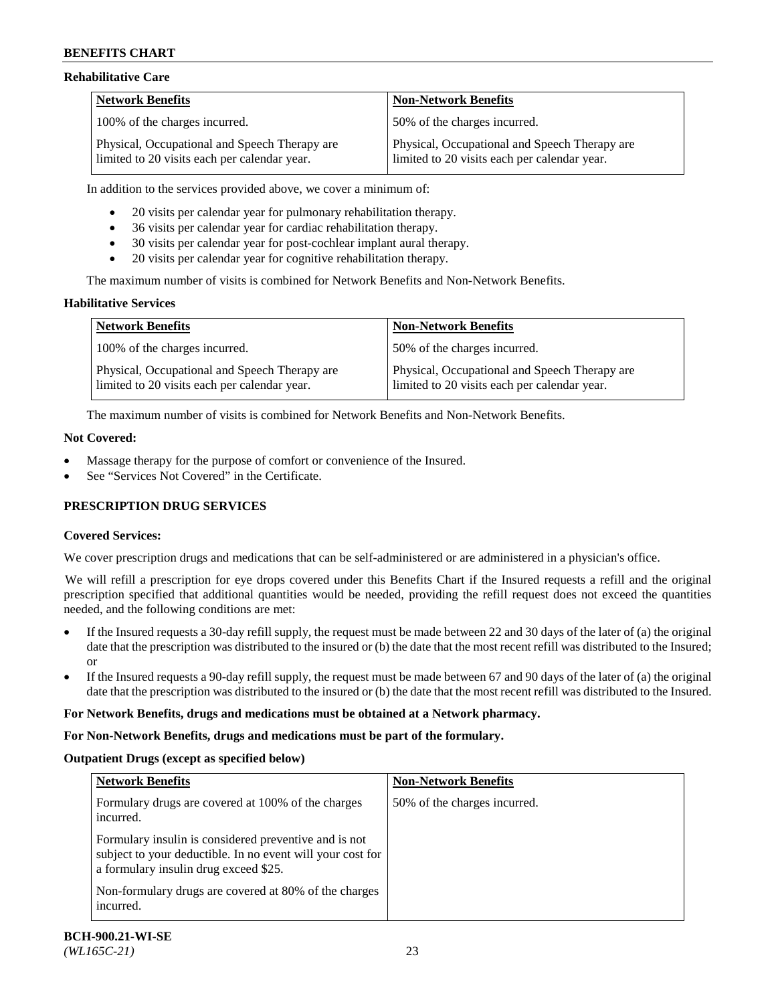### **Rehabilitative Care**

| <b>Network Benefits</b>                                                                       | <b>Non-Network Benefits</b>                                                                   |
|-----------------------------------------------------------------------------------------------|-----------------------------------------------------------------------------------------------|
| 100% of the charges incurred.                                                                 | 50% of the charges incurred.                                                                  |
| Physical, Occupational and Speech Therapy are<br>limited to 20 visits each per calendar year. | Physical, Occupational and Speech Therapy are<br>limited to 20 visits each per calendar year. |

In addition to the services provided above, we cover a minimum of:

- 20 visits per calendar year for pulmonary rehabilitation therapy.
- 36 visits per calendar year for cardiac rehabilitation therapy.
- 30 visits per calendar year for post-cochlear implant aural therapy.
- 20 visits per calendar year for cognitive rehabilitation therapy.

The maximum number of visits is combined for Network Benefits and Non-Network Benefits.

### **Habilitative Services**

| <b>Network Benefits</b>                                                                       | <b>Non-Network Benefits</b>                                                                   |
|-----------------------------------------------------------------------------------------------|-----------------------------------------------------------------------------------------------|
| 100% of the charges incurred.                                                                 | 50% of the charges incurred.                                                                  |
| Physical, Occupational and Speech Therapy are<br>limited to 20 visits each per calendar year. | Physical, Occupational and Speech Therapy are<br>limited to 20 visits each per calendar year. |

The maximum number of visits is combined for Network Benefits and Non-Network Benefits.

### **Not Covered:**

- Massage therapy for the purpose of comfort or convenience of the Insured.
- See "Services Not Covered" in the Certificate.

### **PRESCRIPTION DRUG SERVICES**

### **Covered Services:**

We cover prescription drugs and medications that can be self-administered or are administered in a physician's office.

We will refill a prescription for eye drops covered under this Benefits Chart if the Insured requests a refill and the original prescription specified that additional quantities would be needed, providing the refill request does not exceed the quantities needed, and the following conditions are met:

- If the Insured requests a 30-day refill supply, the request must be made between 22 and 30 days of the later of (a) the original date that the prescription was distributed to the insured or (b) the date that the most recent refill was distributed to the Insured; or
- If the Insured requests a 90-day refill supply, the request must be made between 67 and 90 days of the later of (a) the original date that the prescription was distributed to the insured or (b) the date that the most recent refill was distributed to the Insured.

#### **For Network Benefits, drugs and medications must be obtained at a Network pharmacy.**

#### **For Non-Network Benefits, drugs and medications must be part of the formulary.**

#### **Outpatient Drugs (except as specified below)**

| <b>Network Benefits</b>                                                                                                                                      | <b>Non-Network Benefits</b>  |
|--------------------------------------------------------------------------------------------------------------------------------------------------------------|------------------------------|
| Formulary drugs are covered at 100% of the charges<br>incurred.                                                                                              | 50% of the charges incurred. |
| Formulary insulin is considered preventive and is not<br>subject to your deductible. In no event will your cost for<br>a formulary insulin drug exceed \$25. |                              |
| Non-formulary drugs are covered at 80% of the charges<br>incurred.                                                                                           |                              |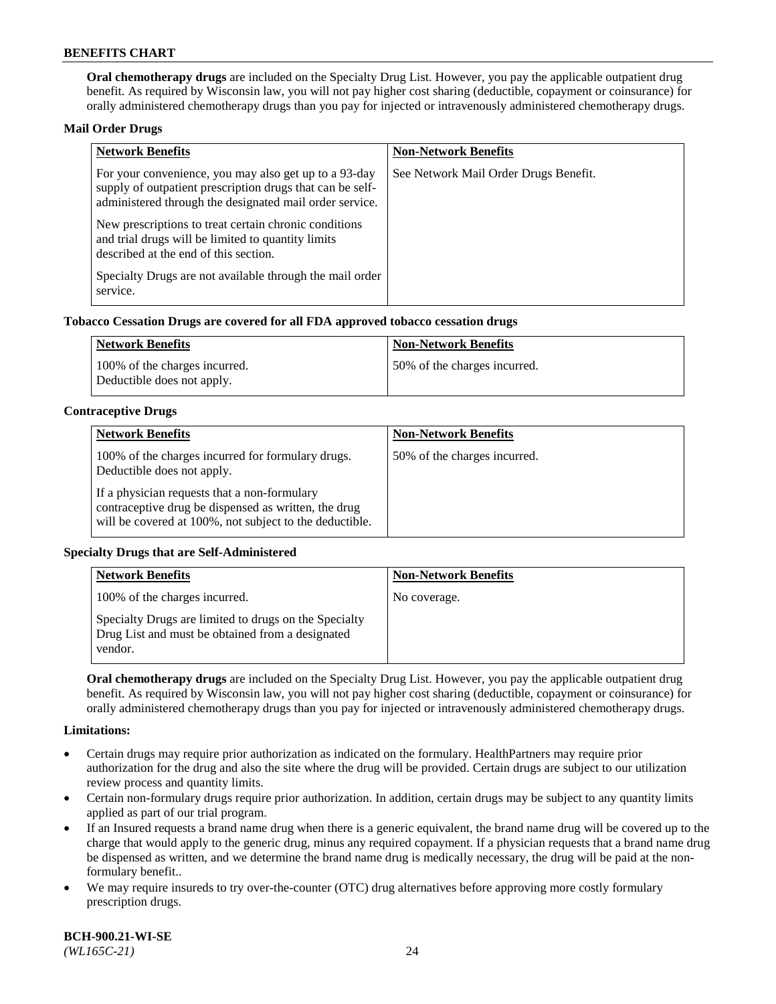**Oral chemotherapy drugs** are included on the Specialty Drug List. However, you pay the applicable outpatient drug benefit. As required by Wisconsin law, you will not pay higher cost sharing (deductible, copayment or coinsurance) for orally administered chemotherapy drugs than you pay for injected or intravenously administered chemotherapy drugs.

### **Mail Order Drugs**

| <b>Network Benefits</b>                                                                                                                                                       | <b>Non-Network Benefits</b>           |
|-------------------------------------------------------------------------------------------------------------------------------------------------------------------------------|---------------------------------------|
| For your convenience, you may also get up to a 93-day<br>supply of outpatient prescription drugs that can be self-<br>administered through the designated mail order service. | See Network Mail Order Drugs Benefit. |
| New prescriptions to treat certain chronic conditions<br>and trial drugs will be limited to quantity limits<br>described at the end of this section.                          |                                       |
| Specialty Drugs are not available through the mail order<br>service.                                                                                                          |                                       |

### **Tobacco Cessation Drugs are covered for all FDA approved tobacco cessation drugs**

| Network Benefits                                            | Non-Network Benefits         |
|-------------------------------------------------------------|------------------------------|
| 100% of the charges incurred.<br>Deductible does not apply. | 50% of the charges incurred. |

### **Contraceptive Drugs**

| <b>Network Benefits</b>                                                                                                                                         | <b>Non-Network Benefits</b>  |
|-----------------------------------------------------------------------------------------------------------------------------------------------------------------|------------------------------|
| 100% of the charges incurred for formulary drugs.<br>Deductible does not apply.                                                                                 | 50% of the charges incurred. |
| If a physician requests that a non-formulary<br>contraceptive drug be dispensed as written, the drug<br>will be covered at 100%, not subject to the deductible. |                              |

### **Specialty Drugs that are Self-Administered**

| <b>Network Benefits</b>                                                                                              | <b>Non-Network Benefits</b> |
|----------------------------------------------------------------------------------------------------------------------|-----------------------------|
| 100% of the charges incurred.                                                                                        | No coverage.                |
| Specialty Drugs are limited to drugs on the Specialty<br>Drug List and must be obtained from a designated<br>vendor. |                             |

**Oral chemotherapy drugs** are included on the Specialty Drug List. However, you pay the applicable outpatient drug benefit. As required by Wisconsin law, you will not pay higher cost sharing (deductible, copayment or coinsurance) for orally administered chemotherapy drugs than you pay for injected or intravenously administered chemotherapy drugs.

#### **Limitations:**

- Certain drugs may require prior authorization as indicated on the formulary. HealthPartners may require prior authorization for the drug and also the site where the drug will be provided. Certain drugs are subject to our utilization review process and quantity limits.
- Certain non-formulary drugs require prior authorization. In addition, certain drugs may be subject to any quantity limits applied as part of our trial program.
- If an Insured requests a brand name drug when there is a generic equivalent, the brand name drug will be covered up to the charge that would apply to the generic drug, minus any required copayment. If a physician requests that a brand name drug be dispensed as written, and we determine the brand name drug is medically necessary, the drug will be paid at the nonformulary benefit..
- We may require insureds to try over-the-counter (OTC) drug alternatives before approving more costly formulary prescription drugs.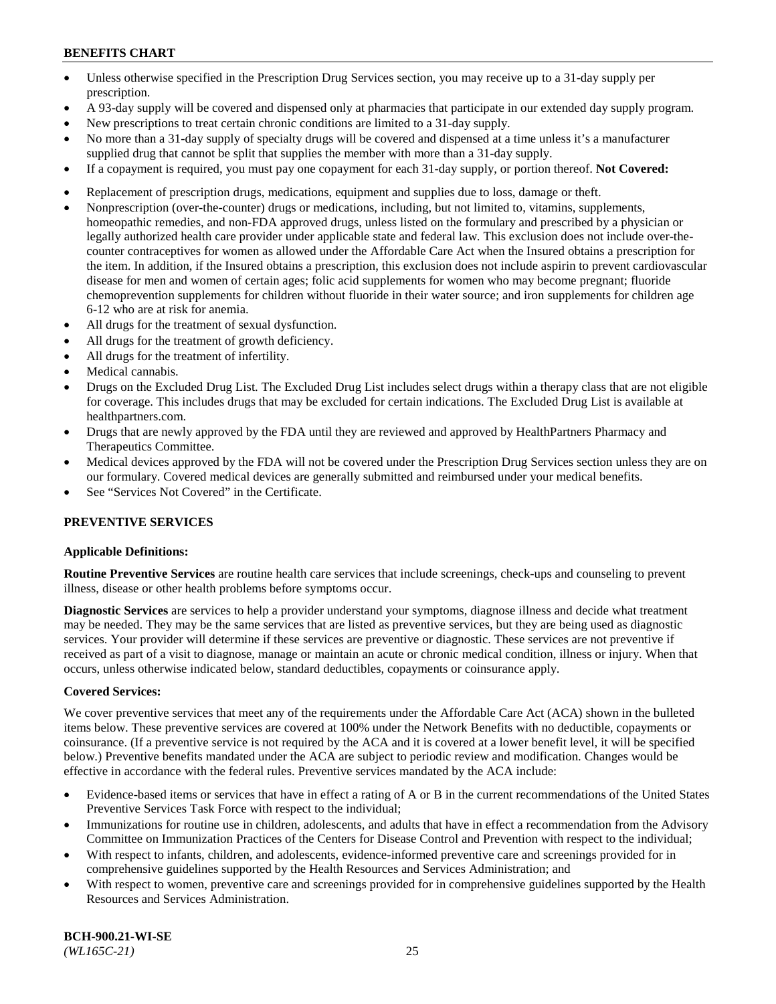- Unless otherwise specified in the Prescription Drug Services section, you may receive up to a 31-day supply per prescription.
- A 93-day supply will be covered and dispensed only at pharmacies that participate in our extended day supply program.
- New prescriptions to treat certain chronic conditions are limited to a 31-day supply.
- No more than a 31-day supply of specialty drugs will be covered and dispensed at a time unless it's a manufacturer supplied drug that cannot be split that supplies the member with more than a 31-day supply.
- If a copayment is required, you must pay one copayment for each 31-day supply, or portion thereof. **Not Covered:**
- Replacement of prescription drugs, medications, equipment and supplies due to loss, damage or theft.
- Nonprescription (over-the-counter) drugs or medications, including, but not limited to, vitamins, supplements, homeopathic remedies, and non-FDA approved drugs, unless listed on the formulary and prescribed by a physician or legally authorized health care provider under applicable state and federal law. This exclusion does not include over-thecounter contraceptives for women as allowed under the Affordable Care Act when the Insured obtains a prescription for the item. In addition, if the Insured obtains a prescription, this exclusion does not include aspirin to prevent cardiovascular disease for men and women of certain ages; folic acid supplements for women who may become pregnant; fluoride chemoprevention supplements for children without fluoride in their water source; and iron supplements for children age 6-12 who are at risk for anemia.
- All drugs for the treatment of sexual dysfunction.
- All drugs for the treatment of growth deficiency.
- All drugs for the treatment of infertility.
- Medical cannabis.
- Drugs on the Excluded Drug List. The Excluded Drug List includes select drugs within a therapy class that are not eligible for coverage. This includes drugs that may be excluded for certain indications. The Excluded Drug List is available at [healthpartners.com.](http://www.healthpartners.com/)
- Drugs that are newly approved by the FDA until they are reviewed and approved by HealthPartners Pharmacy and Therapeutics Committee.
- Medical devices approved by the FDA will not be covered under the Prescription Drug Services section unless they are on our formulary. Covered medical devices are generally submitted and reimbursed under your medical benefits.
- See "Services Not Covered" in the Certificate.

### **PREVENTIVE SERVICES**

#### **Applicable Definitions:**

**Routine Preventive Services** are routine health care services that include screenings, check-ups and counseling to prevent illness, disease or other health problems before symptoms occur.

**Diagnostic Services** are services to help a provider understand your symptoms, diagnose illness and decide what treatment may be needed. They may be the same services that are listed as preventive services, but they are being used as diagnostic services. Your provider will determine if these services are preventive or diagnostic. These services are not preventive if received as part of a visit to diagnose, manage or maintain an acute or chronic medical condition, illness or injury. When that occurs, unless otherwise indicated below, standard deductibles, copayments or coinsurance apply.

#### **Covered Services:**

We cover preventive services that meet any of the requirements under the Affordable Care Act (ACA) shown in the bulleted items below. These preventive services are covered at 100% under the Network Benefits with no deductible, copayments or coinsurance. (If a preventive service is not required by the ACA and it is covered at a lower benefit level, it will be specified below.) Preventive benefits mandated under the ACA are subject to periodic review and modification. Changes would be effective in accordance with the federal rules. Preventive services mandated by the ACA include:

- Evidence-based items or services that have in effect a rating of A or B in the current recommendations of the United States Preventive Services Task Force with respect to the individual;
- Immunizations for routine use in children, adolescents, and adults that have in effect a recommendation from the Advisory Committee on Immunization Practices of the Centers for Disease Control and Prevention with respect to the individual;
- With respect to infants, children, and adolescents, evidence-informed preventive care and screenings provided for in comprehensive guidelines supported by the Health Resources and Services Administration; and
- With respect to women, preventive care and screenings provided for in comprehensive guidelines supported by the Health Resources and Services Administration.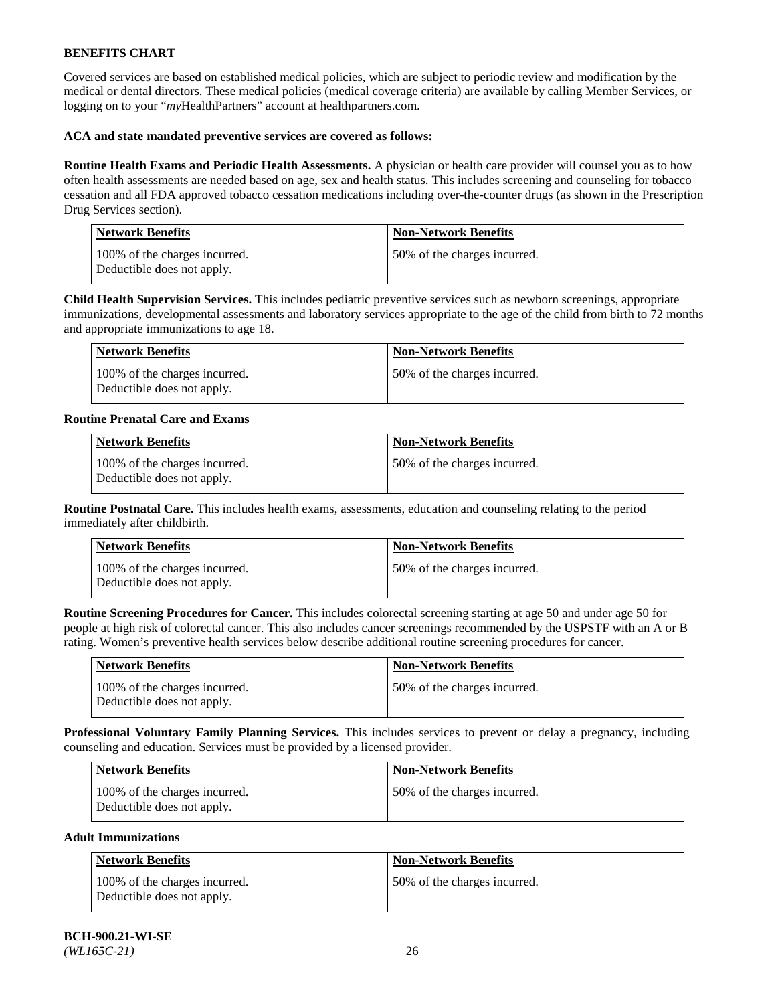Covered services are based on established medical policies, which are subject to periodic review and modification by the medical or dental directors. These medical policies (medical coverage criteria) are available by calling Member Services, or logging on to your "*my*HealthPartners" account at [healthpartners.com.](https://www.healthpartners.com/hp/index.html)

### **ACA and state mandated preventive services are covered as follows:**

**Routine Health Exams and Periodic Health Assessments.** A physician or health care provider will counsel you as to how often health assessments are needed based on age, sex and health status. This includes screening and counseling for tobacco cessation and all FDA approved tobacco cessation medications including over-the-counter drugs (as shown in the Prescription Drug Services section).

| <b>Network Benefits</b>                                     | <b>Non-Network Benefits</b>  |
|-------------------------------------------------------------|------------------------------|
| 100% of the charges incurred.<br>Deductible does not apply. | 50% of the charges incurred. |

**Child Health Supervision Services.** This includes pediatric preventive services such as newborn screenings, appropriate immunizations, developmental assessments and laboratory services appropriate to the age of the child from birth to 72 months and appropriate immunizations to age 18.

| Network Benefits                                            | Non-Network Benefits         |
|-------------------------------------------------------------|------------------------------|
| 100% of the charges incurred.<br>Deductible does not apply. | 50% of the charges incurred. |

### **Routine Prenatal Care and Exams**

| <b>Network Benefits</b>                                     | <b>Non-Network Benefits</b>  |
|-------------------------------------------------------------|------------------------------|
| 100% of the charges incurred.<br>Deductible does not apply. | 50% of the charges incurred. |

**Routine Postnatal Care.** This includes health exams, assessments, education and counseling relating to the period immediately after childbirth.

| <b>Network Benefits</b>                                     | <b>Non-Network Benefits</b>  |
|-------------------------------------------------------------|------------------------------|
| 100% of the charges incurred.<br>Deductible does not apply. | 50% of the charges incurred. |

**Routine Screening Procedures for Cancer.** This includes colorectal screening starting at age 50 and under age 50 for people at high risk of colorectal cancer. This also includes cancer screenings recommended by the USPSTF with an A or B rating. Women's preventive health services below describe additional routine screening procedures for cancer.

| <b>Network Benefits</b>                                     | Non-Network Benefits         |
|-------------------------------------------------------------|------------------------------|
| 100% of the charges incurred.<br>Deductible does not apply. | 50% of the charges incurred. |

**Professional Voluntary Family Planning Services.** This includes services to prevent or delay a pregnancy, including counseling and education. Services must be provided by a licensed provider.

| <b>Network Benefits</b>                                     | <b>Non-Network Benefits</b>   |
|-------------------------------------------------------------|-------------------------------|
| 100% of the charges incurred.<br>Deductible does not apply. | 150% of the charges incurred. |

### **Adult Immunizations**

| Network Benefits                                            | <b>Non-Network Benefits</b>  |
|-------------------------------------------------------------|------------------------------|
| 100% of the charges incurred.<br>Deductible does not apply. | 50% of the charges incurred. |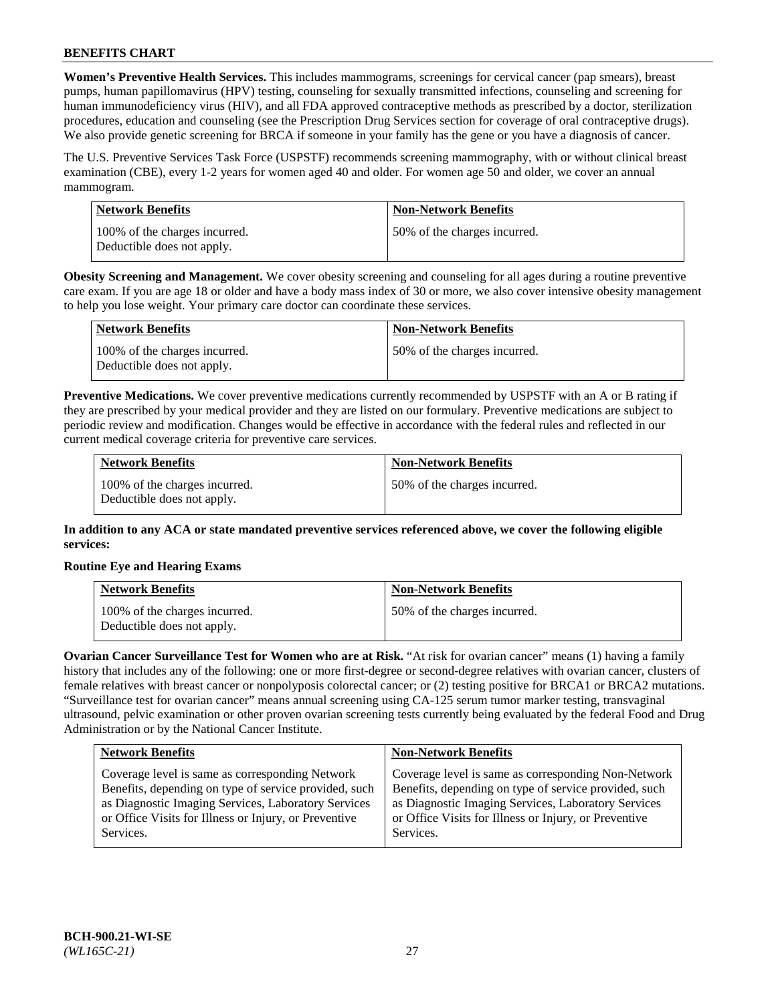**Women's Preventive Health Services.** This includes mammograms, screenings for cervical cancer (pap smears), breast pumps, human papillomavirus (HPV) testing, counseling for sexually transmitted infections, counseling and screening for human immunodeficiency virus (HIV), and all FDA approved contraceptive methods as prescribed by a doctor, sterilization procedures, education and counseling (see the Prescription Drug Services section for coverage of oral contraceptive drugs). We also provide genetic screening for BRCA if someone in your family has the gene or you have a diagnosis of cancer.

The U.S. Preventive Services Task Force (USPSTF) recommends screening mammography, with or without clinical breast examination (CBE), every 1-2 years for women aged 40 and older. For women age 50 and older, we cover an annual mammogram.

| Network Benefits                                            | <b>Non-Network Benefits</b>  |
|-------------------------------------------------------------|------------------------------|
| 100% of the charges incurred.<br>Deductible does not apply. | 50% of the charges incurred. |

**Obesity Screening and Management.** We cover obesity screening and counseling for all ages during a routine preventive care exam. If you are age 18 or older and have a body mass index of 30 or more, we also cover intensive obesity management to help you lose weight. Your primary care doctor can coordinate these services.

| Network Benefits                                            | <b>Non-Network Benefits</b>  |
|-------------------------------------------------------------|------------------------------|
| 100% of the charges incurred.<br>Deductible does not apply. | 50% of the charges incurred. |

**Preventive Medications.** We cover preventive medications currently recommended by USPSTF with an A or B rating if they are prescribed by your medical provider and they are listed on our formulary. Preventive medications are subject to periodic review and modification. Changes would be effective in accordance with the federal rules and reflected in our current medical coverage criteria for preventive care services.

| <b>Network Benefits</b>                                     | <b>Non-Network Benefits</b>  |
|-------------------------------------------------------------|------------------------------|
| 100% of the charges incurred.<br>Deductible does not apply. | 50% of the charges incurred. |

**In addition to any ACA or state mandated preventive services referenced above, we cover the following eligible services:**

### **Routine Eye and Hearing Exams**

| <b>Network Benefits</b>                                     | <b>Non-Network Benefits</b>  |
|-------------------------------------------------------------|------------------------------|
| 100% of the charges incurred.<br>Deductible does not apply. | 50% of the charges incurred. |

**Ovarian Cancer Surveillance Test for Women who are at Risk.** "At risk for ovarian cancer" means (1) having a family history that includes any of the following: one or more first-degree or second-degree relatives with ovarian cancer, clusters of female relatives with breast cancer or nonpolyposis colorectal cancer; or (2) testing positive for BRCA1 or BRCA2 mutations. "Surveillance test for ovarian cancer" means annual screening using CA-125 serum tumor marker testing, transvaginal ultrasound, pelvic examination or other proven ovarian screening tests currently being evaluated by the federal Food and Drug Administration or by the National Cancer Institute.

| <b>Network Benefits</b>                               | <b>Non-Network Benefits</b>                           |
|-------------------------------------------------------|-------------------------------------------------------|
| Coverage level is same as corresponding Network       | Coverage level is same as corresponding Non-Network   |
| Benefits, depending on type of service provided, such | Benefits, depending on type of service provided, such |
| as Diagnostic Imaging Services, Laboratory Services   | as Diagnostic Imaging Services, Laboratory Services   |
| or Office Visits for Illness or Injury, or Preventive | or Office Visits for Illness or Injury, or Preventive |
| Services.                                             | Services.                                             |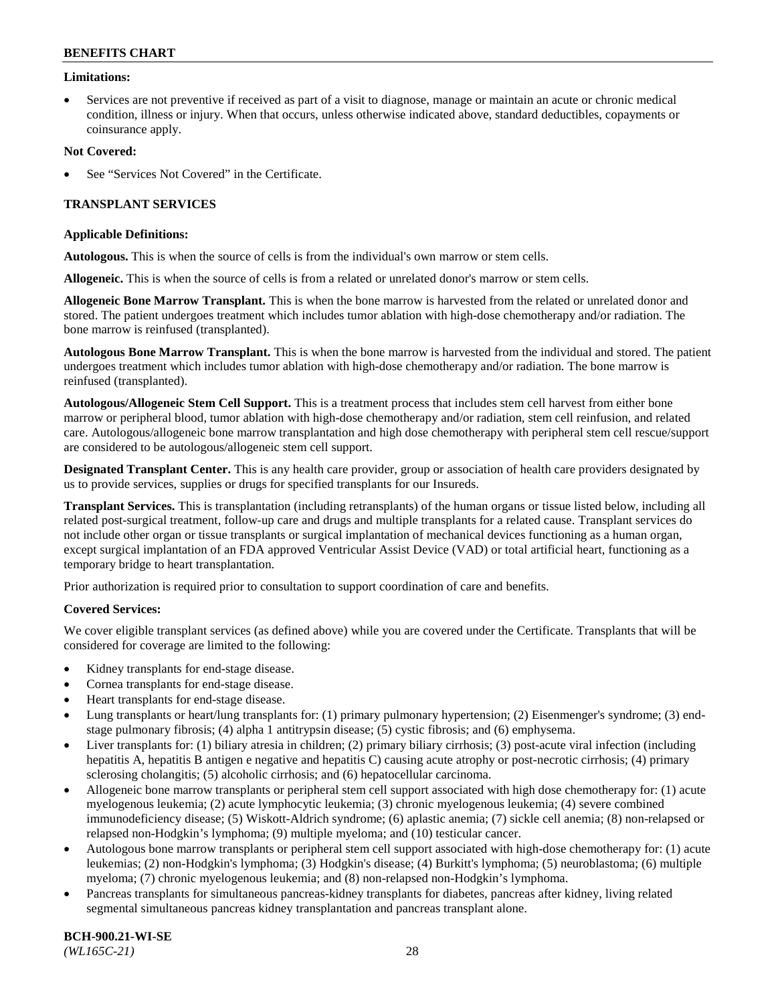### **Limitations:**

• Services are not preventive if received as part of a visit to diagnose, manage or maintain an acute or chronic medical condition, illness or injury. When that occurs, unless otherwise indicated above, standard deductibles, copayments or coinsurance apply.

### **Not Covered:**

See "Services Not Covered" in the Certificate.

### **TRANSPLANT SERVICES**

#### **Applicable Definitions:**

**Autologous.** This is when the source of cells is from the individual's own marrow or stem cells.

**Allogeneic.** This is when the source of cells is from a related or unrelated donor's marrow or stem cells.

**Allogeneic Bone Marrow Transplant.** This is when the bone marrow is harvested from the related or unrelated donor and stored. The patient undergoes treatment which includes tumor ablation with high-dose chemotherapy and/or radiation. The bone marrow is reinfused (transplanted).

**Autologous Bone Marrow Transplant.** This is when the bone marrow is harvested from the individual and stored. The patient undergoes treatment which includes tumor ablation with high-dose chemotherapy and/or radiation. The bone marrow is reinfused (transplanted).

**Autologous/Allogeneic Stem Cell Support.** This is a treatment process that includes stem cell harvest from either bone marrow or peripheral blood, tumor ablation with high-dose chemotherapy and/or radiation, stem cell reinfusion, and related care. Autologous/allogeneic bone marrow transplantation and high dose chemotherapy with peripheral stem cell rescue/support are considered to be autologous/allogeneic stem cell support.

**Designated Transplant Center.** This is any health care provider, group or association of health care providers designated by us to provide services, supplies or drugs for specified transplants for our Insureds.

**Transplant Services.** This is transplantation (including retransplants) of the human organs or tissue listed below, including all related post-surgical treatment, follow-up care and drugs and multiple transplants for a related cause. Transplant services do not include other organ or tissue transplants or surgical implantation of mechanical devices functioning as a human organ, except surgical implantation of an FDA approved Ventricular Assist Device (VAD) or total artificial heart, functioning as a temporary bridge to heart transplantation.

Prior authorization is required prior to consultation to support coordination of care and benefits.

#### **Covered Services:**

We cover eligible transplant services (as defined above) while you are covered under the Certificate. Transplants that will be considered for coverage are limited to the following:

- Kidney transplants for end-stage disease.
- Cornea transplants for end-stage disease.
- Heart transplants for end-stage disease.
- Lung transplants or heart/lung transplants for: (1) primary pulmonary hypertension; (2) Eisenmenger's syndrome; (3) endstage pulmonary fibrosis; (4) alpha 1 antitrypsin disease; (5) cystic fibrosis; and (6) emphysema.
- Liver transplants for: (1) biliary atresia in children; (2) primary biliary cirrhosis; (3) post-acute viral infection (including hepatitis A, hepatitis B antigen e negative and hepatitis C) causing acute atrophy or post-necrotic cirrhosis; (4) primary sclerosing cholangitis; (5) alcoholic cirrhosis; and (6) hepatocellular carcinoma.
- Allogeneic bone marrow transplants or peripheral stem cell support associated with high dose chemotherapy for: (1) acute myelogenous leukemia; (2) acute lymphocytic leukemia; (3) chronic myelogenous leukemia; (4) severe combined immunodeficiency disease; (5) Wiskott-Aldrich syndrome; (6) aplastic anemia; (7) sickle cell anemia; (8) non-relapsed or relapsed non-Hodgkin's lymphoma; (9) multiple myeloma; and (10) testicular cancer.
- Autologous bone marrow transplants or peripheral stem cell support associated with high-dose chemotherapy for: (1) acute leukemias; (2) non-Hodgkin's lymphoma; (3) Hodgkin's disease; (4) Burkitt's lymphoma; (5) neuroblastoma; (6) multiple myeloma; (7) chronic myelogenous leukemia; and (8) non-relapsed non-Hodgkin's lymphoma.
- Pancreas transplants for simultaneous pancreas-kidney transplants for diabetes, pancreas after kidney, living related segmental simultaneous pancreas kidney transplantation and pancreas transplant alone.